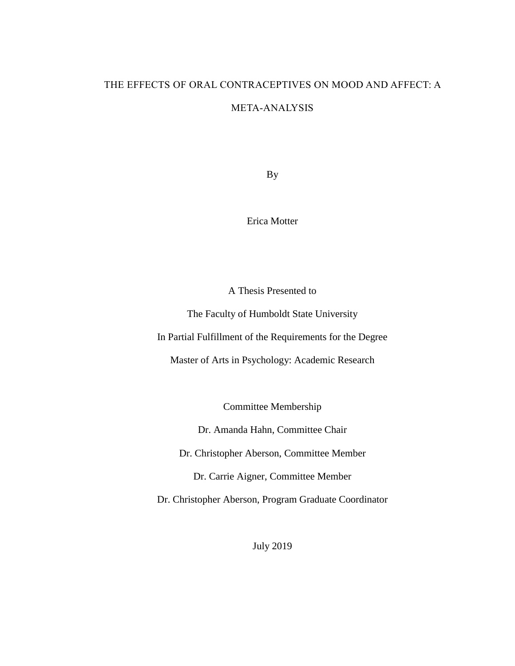## THE EFFECTS OF ORAL CONTRACEPTIVES ON MOOD AND AFFECT: A

### META-ANALYSIS

By

Erica Motter

A Thesis Presented to

The Faculty of Humboldt State University

In Partial Fulfillment of the Requirements for the Degree

Master of Arts in Psychology: Academic Research

Committee Membership

Dr. Amanda Hahn, Committee Chair

Dr. Christopher Aberson, Committee Member

Dr. Carrie Aigner, Committee Member

Dr. Christopher Aberson, Program Graduate Coordinator

July 2019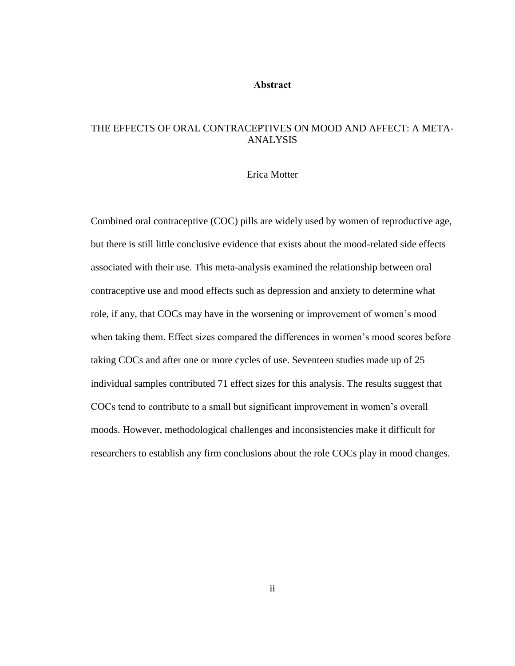#### **Abstract**

### <span id="page-1-0"></span>THE EFFECTS OF ORAL CONTRACEPTIVES ON MOOD AND AFFECT: A META-ANALYSIS

#### Erica Motter

Combined oral contraceptive (COC) pills are widely used by women of reproductive age, but there is still little conclusive evidence that exists about the mood-related side effects associated with their use. This meta-analysis examined the relationship between oral contraceptive use and mood effects such as depression and anxiety to determine what role, if any, that COCs may have in the worsening or improvement of women's mood when taking them. Effect sizes compared the differences in women's mood scores before taking COCs and after one or more cycles of use. Seventeen studies made up of 25 individual samples contributed 71 effect sizes for this analysis. The results suggest that COCs tend to contribute to a small but significant improvement in women's overall moods. However, methodological challenges and inconsistencies make it difficult for researchers to establish any firm conclusions about the role COCs play in mood changes.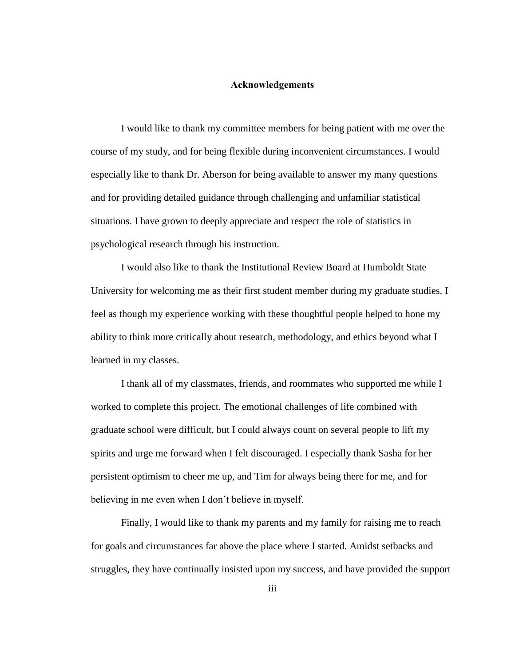#### **Acknowledgements**

<span id="page-2-0"></span>I would like to thank my committee members for being patient with me over the course of my study, and for being flexible during inconvenient circumstances. I would especially like to thank Dr. Aberson for being available to answer my many questions and for providing detailed guidance through challenging and unfamiliar statistical situations. I have grown to deeply appreciate and respect the role of statistics in psychological research through his instruction.

I would also like to thank the Institutional Review Board at Humboldt State University for welcoming me as their first student member during my graduate studies. I feel as though my experience working with these thoughtful people helped to hone my ability to think more critically about research, methodology, and ethics beyond what I learned in my classes.

I thank all of my classmates, friends, and roommates who supported me while I worked to complete this project. The emotional challenges of life combined with graduate school were difficult, but I could always count on several people to lift my spirits and urge me forward when I felt discouraged. I especially thank Sasha for her persistent optimism to cheer me up, and Tim for always being there for me, and for believing in me even when I don't believe in myself.

Finally, I would like to thank my parents and my family for raising me to reach for goals and circumstances far above the place where I started. Amidst setbacks and struggles, they have continually insisted upon my success, and have provided the support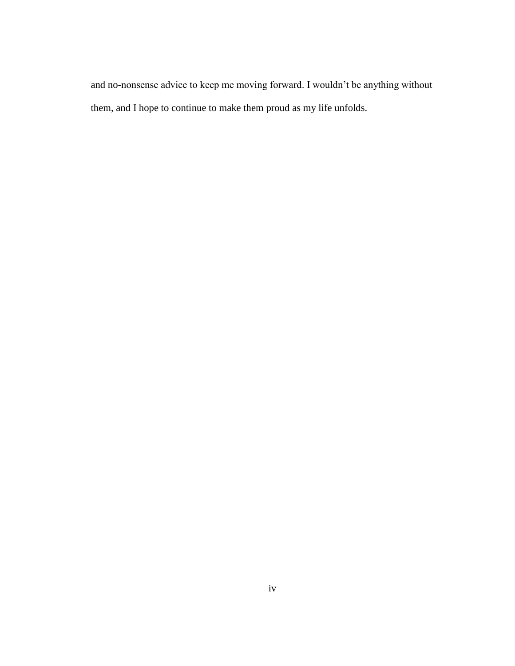and no-nonsense advice to keep me moving forward. I wouldn't be anything without them, and I hope to continue to make them proud as my life unfolds.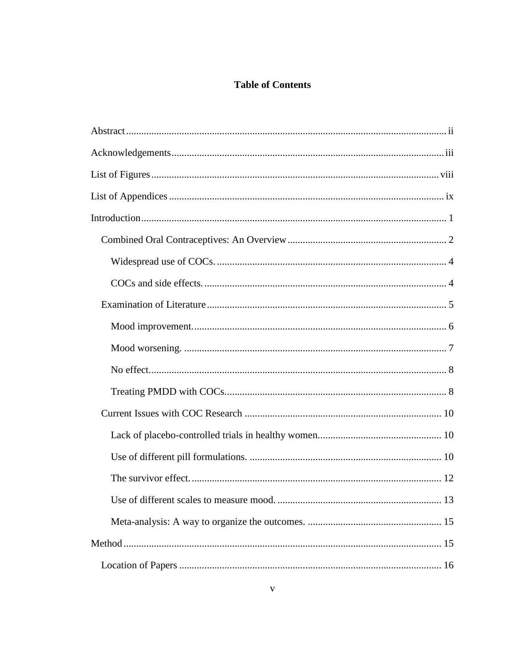## **Table of Contents**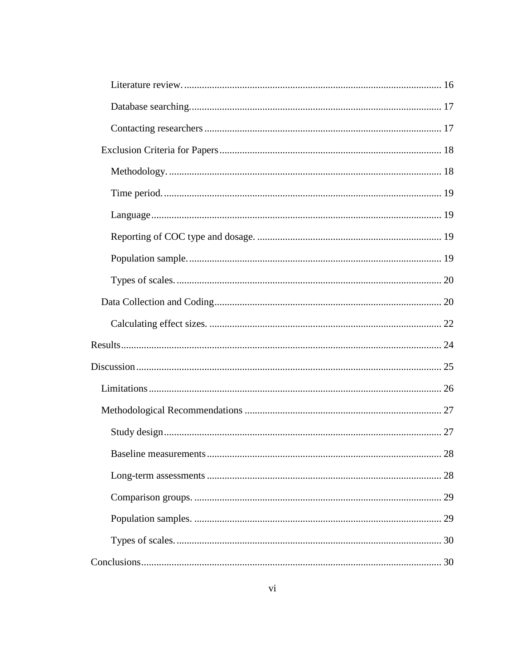|  | 28 |
|--|----|
|  |    |
|  |    |
|  |    |
|  |    |
|  |    |
|  |    |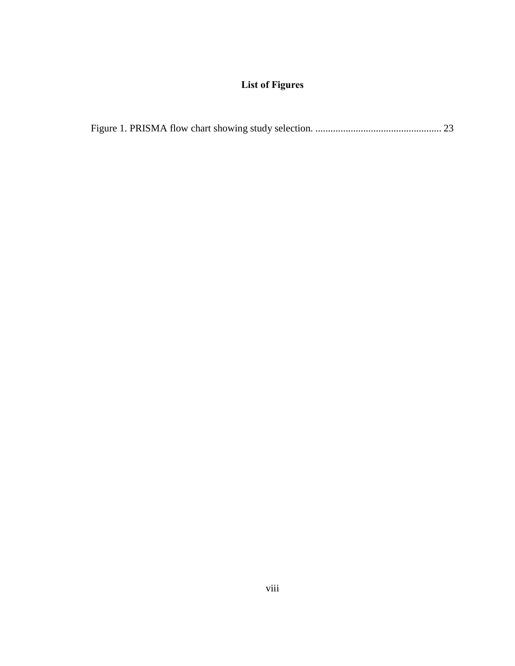# **List of Figures**

<span id="page-7-0"></span>

|--|--|--|--|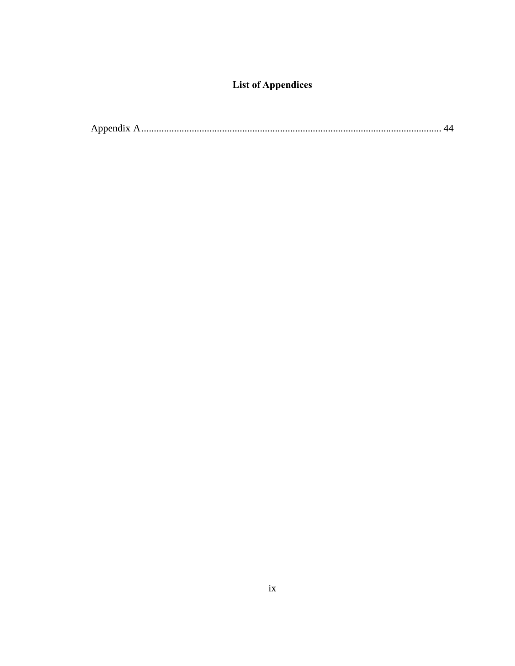# **List of Appendices**

<span id="page-8-0"></span>

|--|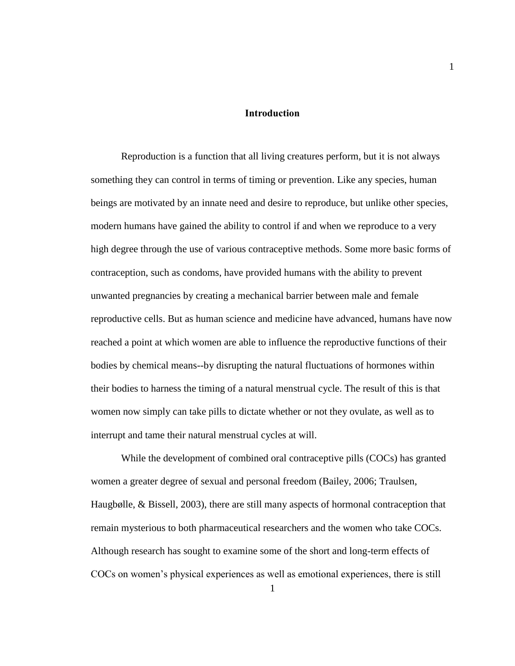#### **Introduction**

<span id="page-9-0"></span>Reproduction is a function that all living creatures perform, but it is not always something they can control in terms of timing or prevention. Like any species, human beings are motivated by an innate need and desire to reproduce, but unlike other species, modern humans have gained the ability to control if and when we reproduce to a very high degree through the use of various contraceptive methods. Some more basic forms of contraception, such as condoms, have provided humans with the ability to prevent unwanted pregnancies by creating a mechanical barrier between male and female reproductive cells. But as human science and medicine have advanced, humans have now reached a point at which women are able to influence the reproductive functions of their bodies by chemical means--by disrupting the natural fluctuations of hormones within their bodies to harness the timing of a natural menstrual cycle. The result of this is that women now simply can take pills to dictate whether or not they ovulate, as well as to interrupt and tame their natural menstrual cycles at will.

While the development of combined oral contraceptive pills (COCs) has granted women a greater degree of sexual and personal freedom (Bailey, 2006; Traulsen, Haugbølle, & Bissell, 2003), there are still many aspects of hormonal contraception that remain mysterious to both pharmaceutical researchers and the women who take COCs. Although research has sought to examine some of the short and long-term effects of COCs on women's physical experiences as well as emotional experiences, there is still

1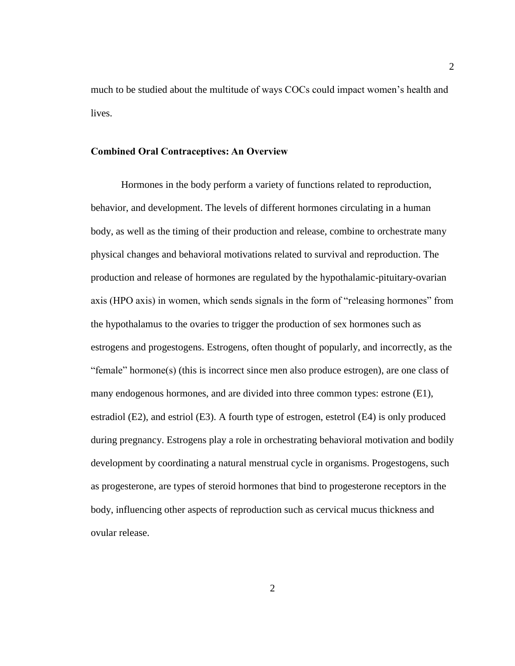much to be studied about the multitude of ways COCs could impact women's health and lives.

#### <span id="page-10-0"></span>**Combined Oral Contraceptives: An Overview**

Hormones in the body perform a variety of functions related to reproduction, behavior, and development. The levels of different hormones circulating in a human body, as well as the timing of their production and release, combine to orchestrate many physical changes and behavioral motivations related to survival and reproduction. The production and release of hormones are regulated by the hypothalamic-pituitary-ovarian axis (HPO axis) in women, which sends signals in the form of "releasing hormones" from the hypothalamus to the ovaries to trigger the production of sex hormones such as estrogens and progestogens. Estrogens, often thought of popularly, and incorrectly, as the "female" hormone(s) (this is incorrect since men also produce estrogen), are one class of many endogenous hormones, and are divided into three common types: estrone (E1), estradiol (E2), and estriol (E3). A fourth type of estrogen, estetrol (E4) is only produced during pregnancy. Estrogens play a role in orchestrating behavioral motivation and bodily development by coordinating a natural menstrual cycle in organisms. Progestogens, such as progesterone, are types of steroid hormones that bind to progesterone receptors in the body, influencing other aspects of reproduction such as cervical mucus thickness and ovular release.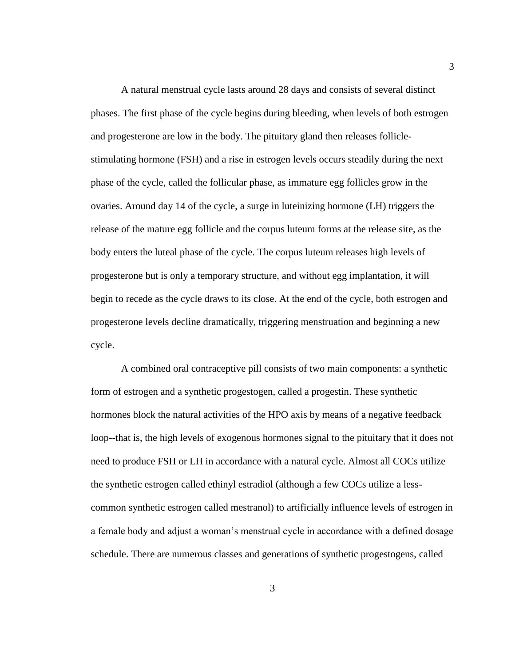A natural menstrual cycle lasts around 28 days and consists of several distinct phases. The first phase of the cycle begins during bleeding, when levels of both estrogen and progesterone are low in the body. The pituitary gland then releases folliclestimulating hormone (FSH) and a rise in estrogen levels occurs steadily during the next phase of the cycle, called the follicular phase, as immature egg follicles grow in the ovaries. Around day 14 of the cycle, a surge in luteinizing hormone (LH) triggers the release of the mature egg follicle and the corpus luteum forms at the release site, as the body enters the luteal phase of the cycle. The corpus luteum releases high levels of progesterone but is only a temporary structure, and without egg implantation, it will begin to recede as the cycle draws to its close. At the end of the cycle, both estrogen and progesterone levels decline dramatically, triggering menstruation and beginning a new cycle.

A combined oral contraceptive pill consists of two main components: a synthetic form of estrogen and a synthetic progestogen, called a progestin. These synthetic hormones block the natural activities of the HPO axis by means of a negative feedback loop--that is, the high levels of exogenous hormones signal to the pituitary that it does not need to produce FSH or LH in accordance with a natural cycle. Almost all COCs utilize the synthetic estrogen called ethinyl estradiol (although a few COCs utilize a lesscommon synthetic estrogen called mestranol) to artificially influence levels of estrogen in a female body and adjust a woman's menstrual cycle in accordance with a defined dosage schedule. There are numerous classes and generations of synthetic progestogens, called

3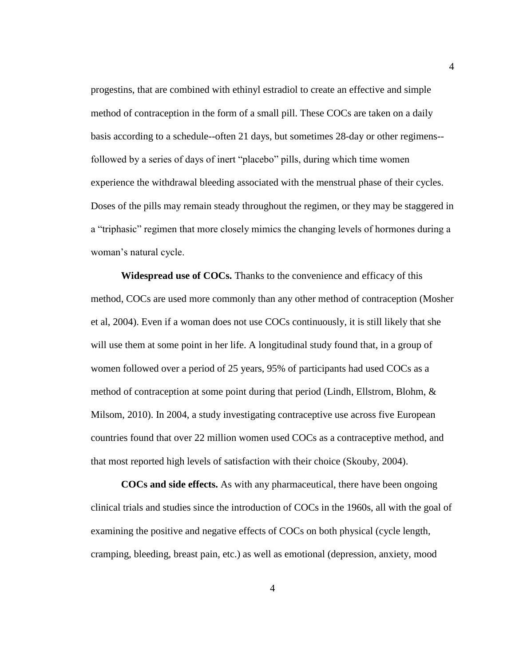progestins, that are combined with ethinyl estradiol to create an effective and simple method of contraception in the form of a small pill. These COCs are taken on a daily basis according to a schedule--often 21 days, but sometimes 28-day or other regimens- followed by a series of days of inert "placebo" pills, during which time women experience the withdrawal bleeding associated with the menstrual phase of their cycles. Doses of the pills may remain steady throughout the regimen, or they may be staggered in a "triphasic" regimen that more closely mimics the changing levels of hormones during a woman's natural cycle.

<span id="page-12-0"></span>**Widespread use of COCs.** Thanks to the convenience and efficacy of this method, COCs are used more commonly than any other method of contraception (Mosher et al, 2004). Even if a woman does not use COCs continuously, it is still likely that she will use them at some point in her life. A longitudinal study found that, in a group of women followed over a period of 25 years, 95% of participants had used COCs as a method of contraception at some point during that period (Lindh, Ellstrom, Blohm,  $\&$ Milsom, 2010). In 2004, a study investigating contraceptive use across five European countries found that over 22 million women used COCs as a contraceptive method, and that most reported high levels of satisfaction with their choice (Skouby, 2004).

<span id="page-12-1"></span>**COCs and side effects.** As with any pharmaceutical, there have been ongoing clinical trials and studies since the introduction of COCs in the 1960s, all with the goal of examining the positive and negative effects of COCs on both physical (cycle length, cramping, bleeding, breast pain, etc.) as well as emotional (depression, anxiety, mood

4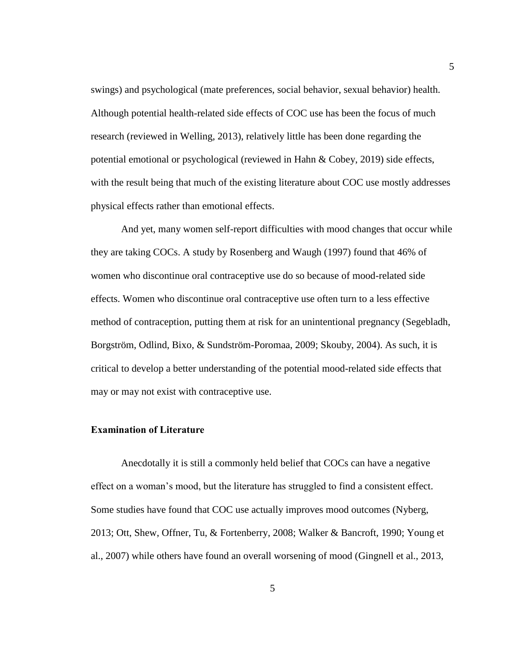swings) and psychological (mate preferences, social behavior, sexual behavior) health. Although potential health-related side effects of COC use has been the focus of much research (reviewed in Welling, 2013), relatively little has been done regarding the potential emotional or psychological (reviewed in Hahn & Cobey, 2019) side effects, with the result being that much of the existing literature about COC use mostly addresses physical effects rather than emotional effects.

And yet, many women self-report difficulties with mood changes that occur while they are taking COCs. A study by Rosenberg and Waugh (1997) found that 46% of women who discontinue oral contraceptive use do so because of mood-related side effects. Women who discontinue oral contraceptive use often turn to a less effective method of contraception, putting them at risk for an unintentional pregnancy (Segebladh, Borgström, Odlind, Bixo, & Sundström-Poromaa, 2009; Skouby, 2004). As such, it is critical to develop a better understanding of the potential mood-related side effects that may or may not exist with contraceptive use.

### <span id="page-13-0"></span>**Examination of Literature**

Anecdotally it is still a commonly held belief that COCs can have a negative effect on a woman's mood, but the literature has struggled to find a consistent effect. Some studies have found that COC use actually improves mood outcomes (Nyberg, 2013; Ott, Shew, Offner, Tu, & Fortenberry, 2008; Walker & Bancroft, 1990; Young et al., 2007) while others have found an overall worsening of mood (Gingnell et al., 2013,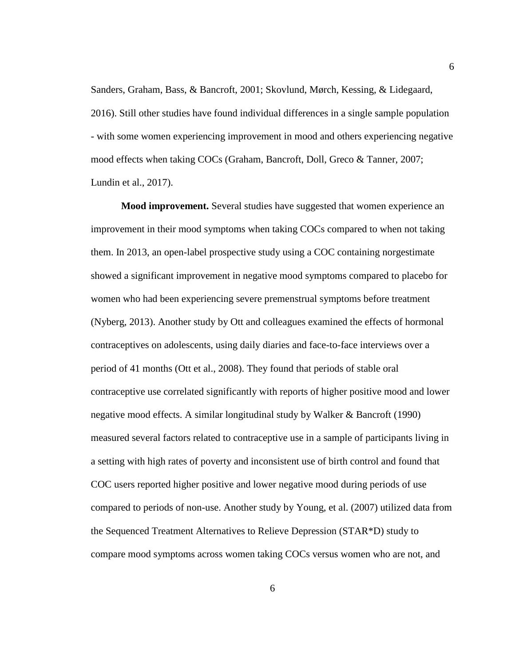Sanders, Graham, Bass, & Bancroft, 2001; Skovlund, Mørch, Kessing, & Lidegaard, 2016). Still other studies have found individual differences in a single sample population - with some women experiencing improvement in mood and others experiencing negative mood effects when taking COCs (Graham, Bancroft, Doll, Greco & Tanner, 2007; Lundin et al., 2017).

<span id="page-14-0"></span>**Mood improvement.** Several studies have suggested that women experience an improvement in their mood symptoms when taking COCs compared to when not taking them. In 2013, an open-label prospective study using a COC containing norgestimate showed a significant improvement in negative mood symptoms compared to placebo for women who had been experiencing severe premenstrual symptoms before treatment (Nyberg, 2013). Another study by Ott and colleagues examined the effects of hormonal contraceptives on adolescents, using daily diaries and face-to-face interviews over a period of 41 months (Ott et al., 2008). They found that periods of stable oral contraceptive use correlated significantly with reports of higher positive mood and lower negative mood effects. A similar longitudinal study by Walker & Bancroft (1990) measured several factors related to contraceptive use in a sample of participants living in a setting with high rates of poverty and inconsistent use of birth control and found that COC users reported higher positive and lower negative mood during periods of use compared to periods of non-use. Another study by Young, et al. (2007) utilized data from the Sequenced Treatment Alternatives to Relieve Depression (STAR\*D) study to compare mood symptoms across women taking COCs versus women who are not, and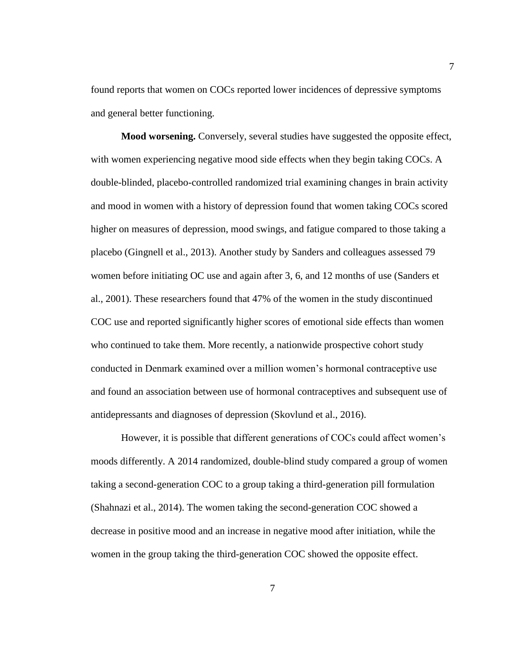found reports that women on COCs reported lower incidences of depressive symptoms and general better functioning.

<span id="page-15-0"></span>**Mood worsening.** Conversely, several studies have suggested the opposite effect, with women experiencing negative mood side effects when they begin taking COCs. A double-blinded, placebo-controlled randomized trial examining changes in brain activity and mood in women with a history of depression found that women taking COCs scored higher on measures of depression, mood swings, and fatigue compared to those taking a placebo (Gingnell et al., 2013). Another study by Sanders and colleagues assessed 79 women before initiating OC use and again after 3, 6, and 12 months of use (Sanders et al., 2001). These researchers found that 47% of the women in the study discontinued COC use and reported significantly higher scores of emotional side effects than women who continued to take them. More recently, a nationwide prospective cohort study conducted in Denmark examined over a million women's hormonal contraceptive use and found an association between use of hormonal contraceptives and subsequent use of antidepressants and diagnoses of depression (Skovlund et al., 2016).

However, it is possible that different generations of COCs could affect women's moods differently. A 2014 randomized, double-blind study compared a group of women taking a second-generation COC to a group taking a third-generation pill formulation (Shahnazi et al., 2014). The women taking the second-generation COC showed a decrease in positive mood and an increase in negative mood after initiation, while the women in the group taking the third-generation COC showed the opposite effect.

7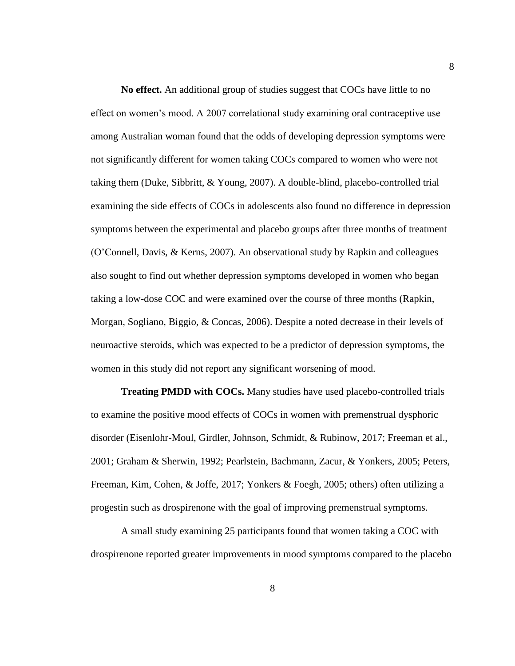<span id="page-16-0"></span>**No effect.** An additional group of studies suggest that COCs have little to no effect on women's mood. A 2007 correlational study examining oral contraceptive use among Australian woman found that the odds of developing depression symptoms were not significantly different for women taking COCs compared to women who were not taking them (Duke, Sibbritt, & Young, 2007). A double-blind, placebo-controlled trial examining the side effects of COCs in adolescents also found no difference in depression symptoms between the experimental and placebo groups after three months of treatment (O'Connell, Davis, & Kerns, 2007). An observational study by Rapkin and colleagues also sought to find out whether depression symptoms developed in women who began taking a low-dose COC and were examined over the course of three months (Rapkin, Morgan, Sogliano, Biggio, & Concas, 2006). Despite a noted decrease in their levels of neuroactive steroids, which was expected to be a predictor of depression symptoms, the women in this study did not report any significant worsening of mood.

<span id="page-16-1"></span>**Treating PMDD with COCs.** Many studies have used placebo-controlled trials to examine the positive mood effects of COCs in women with premenstrual dysphoric disorder (Eisenlohr-Moul, Girdler, Johnson, Schmidt, & Rubinow, 2017; Freeman et al., 2001; Graham & Sherwin, 1992; Pearlstein, Bachmann, Zacur, & Yonkers, 2005; Peters, Freeman, Kim, Cohen, & Joffe, 2017; Yonkers & Foegh, 2005; others) often utilizing a progestin such as drospirenone with the goal of improving premenstrual symptoms.

A small study examining 25 participants found that women taking a COC with drospirenone reported greater improvements in mood symptoms compared to the placebo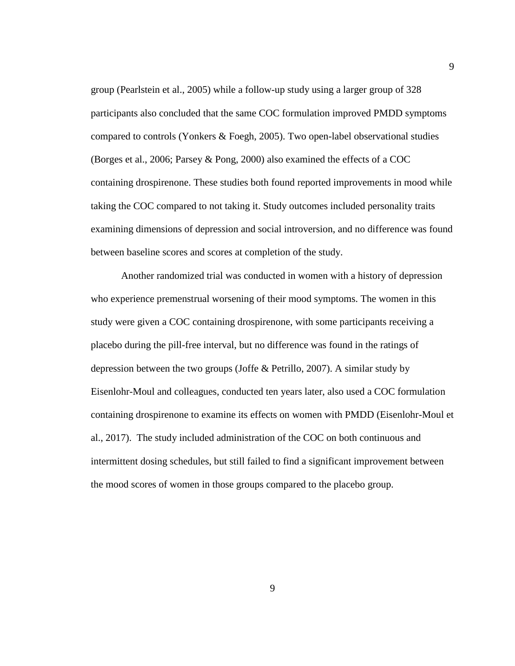group (Pearlstein et al., 2005) while a follow-up study using a larger group of 328 participants also concluded that the same COC formulation improved PMDD symptoms compared to controls (Yonkers & Foegh, 2005). Two open-label observational studies (Borges et al., 2006; Parsey & Pong, 2000) also examined the effects of a COC containing drospirenone. These studies both found reported improvements in mood while taking the COC compared to not taking it. Study outcomes included personality traits examining dimensions of depression and social introversion, and no difference was found between baseline scores and scores at completion of the study.

Another randomized trial was conducted in women with a history of depression who experience premenstrual worsening of their mood symptoms. The women in this study were given a COC containing drospirenone, with some participants receiving a placebo during the pill-free interval, but no difference was found in the ratings of depression between the two groups (Joffe & Petrillo, 2007). A similar study by Eisenlohr-Moul and colleagues, conducted ten years later, also used a COC formulation containing drospirenone to examine its effects on women with PMDD (Eisenlohr-Moul et al., 2017). The study included administration of the COC on both continuous and intermittent dosing schedules, but still failed to find a significant improvement between the mood scores of women in those groups compared to the placebo group.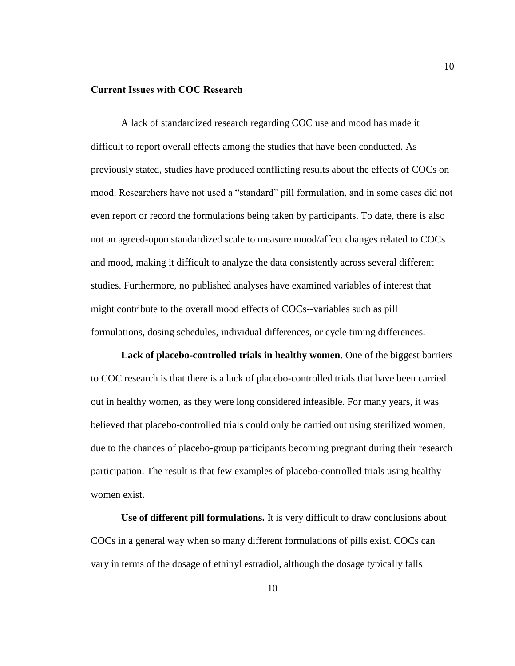#### <span id="page-18-0"></span>**Current Issues with COC Research**

A lack of standardized research regarding COC use and mood has made it difficult to report overall effects among the studies that have been conducted. As previously stated, studies have produced conflicting results about the effects of COCs on mood. Researchers have not used a "standard" pill formulation, and in some cases did not even report or record the formulations being taken by participants. To date, there is also not an agreed-upon standardized scale to measure mood/affect changes related to COCs and mood, making it difficult to analyze the data consistently across several different studies. Furthermore, no published analyses have examined variables of interest that might contribute to the overall mood effects of COCs--variables such as pill formulations, dosing schedules, individual differences, or cycle timing differences.

<span id="page-18-1"></span>**Lack of placebo-controlled trials in healthy women.** One of the biggest barriers to COC research is that there is a lack of placebo-controlled trials that have been carried out in healthy women, as they were long considered infeasible. For many years, it was believed that placebo-controlled trials could only be carried out using sterilized women, due to the chances of placebo-group participants becoming pregnant during their research participation. The result is that few examples of placebo-controlled trials using healthy women exist.

<span id="page-18-2"></span>**Use of different pill formulations.** It is very difficult to draw conclusions about COCs in a general way when so many different formulations of pills exist. COCs can vary in terms of the dosage of ethinyl estradiol, although the dosage typically falls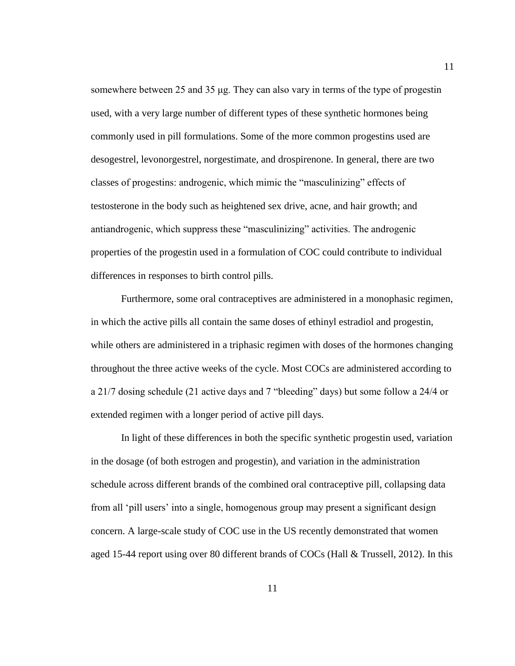somewhere between 25 and 35 μg. They can also vary in terms of the type of progestin used, with a very large number of different types of these synthetic hormones being commonly used in pill formulations. Some of the more common progestins used are desogestrel, levonorgestrel, norgestimate, and drospirenone. In general, there are two classes of progestins: androgenic, which mimic the "masculinizing" effects of testosterone in the body such as heightened sex drive, acne, and hair growth; and antiandrogenic, which suppress these "masculinizing" activities. The androgenic properties of the progestin used in a formulation of COC could contribute to individual differences in responses to birth control pills.

Furthermore, some oral contraceptives are administered in a monophasic regimen, in which the active pills all contain the same doses of ethinyl estradiol and progestin, while others are administered in a triphasic regimen with doses of the hormones changing throughout the three active weeks of the cycle. Most COCs are administered according to a 21/7 dosing schedule (21 active days and 7 "bleeding" days) but some follow a 24/4 or extended regimen with a longer period of active pill days.

In light of these differences in both the specific synthetic progestin used, variation in the dosage (of both estrogen and progestin), and variation in the administration schedule across different brands of the combined oral contraceptive pill, collapsing data from all 'pill users' into a single, homogenous group may present a significant design concern. A large-scale study of COC use in the US recently demonstrated that women aged 15-44 report using over 80 different brands of COCs (Hall & Trussell, 2012). In this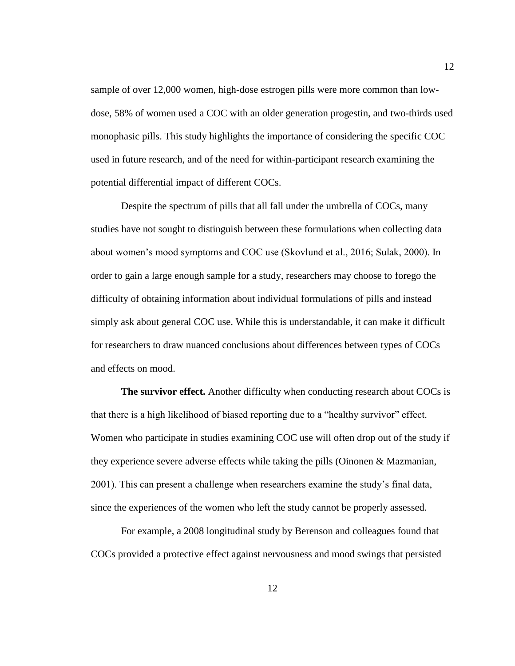sample of over 12,000 women, high-dose estrogen pills were more common than lowdose, 58% of women used a COC with an older generation progestin, and two-thirds used monophasic pills. This study highlights the importance of considering the specific COC used in future research, and of the need for within-participant research examining the potential differential impact of different COCs.

Despite the spectrum of pills that all fall under the umbrella of COCs, many studies have not sought to distinguish between these formulations when collecting data about women's mood symptoms and COC use (Skovlund et al., 2016; Sulak, 2000). In order to gain a large enough sample for a study, researchers may choose to forego the difficulty of obtaining information about individual formulations of pills and instead simply ask about general COC use. While this is understandable, it can make it difficult for researchers to draw nuanced conclusions about differences between types of COCs and effects on mood.

<span id="page-20-0"></span>**The survivor effect.** Another difficulty when conducting research about COCs is that there is a high likelihood of biased reporting due to a "healthy survivor" effect. Women who participate in studies examining COC use will often drop out of the study if they experience severe adverse effects while taking the pills (Oinonen & Mazmanian, 2001). This can present a challenge when researchers examine the study's final data, since the experiences of the women who left the study cannot be properly assessed.

For example, a 2008 longitudinal study by Berenson and colleagues found that COCs provided a protective effect against nervousness and mood swings that persisted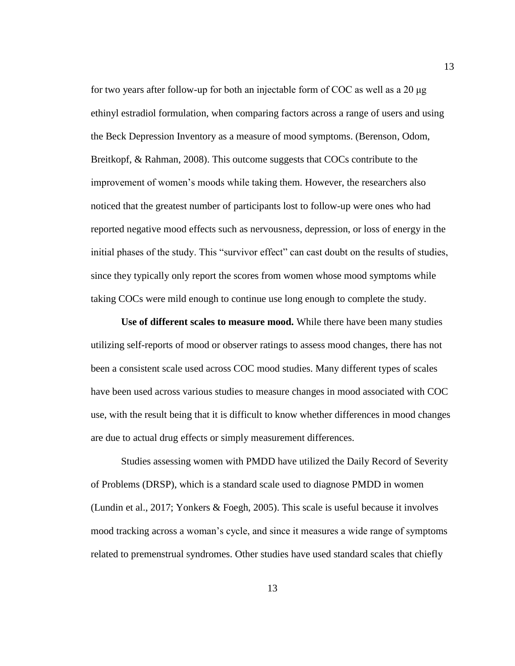for two years after follow-up for both an injectable form of COC as well as a 20 μg ethinyl estradiol formulation, when comparing factors across a range of users and using the Beck Depression Inventory as a measure of mood symptoms. (Berenson, Odom, Breitkopf, & Rahman, 2008). This outcome suggests that COCs contribute to the improvement of women's moods while taking them. However, the researchers also noticed that the greatest number of participants lost to follow-up were ones who had reported negative mood effects such as nervousness, depression, or loss of energy in the initial phases of the study. This "survivor effect" can cast doubt on the results of studies, since they typically only report the scores from women whose mood symptoms while taking COCs were mild enough to continue use long enough to complete the study.

<span id="page-21-0"></span>**Use of different scales to measure mood.** While there have been many studies utilizing self-reports of mood or observer ratings to assess mood changes, there has not been a consistent scale used across COC mood studies. Many different types of scales have been used across various studies to measure changes in mood associated with COC use, with the result being that it is difficult to know whether differences in mood changes are due to actual drug effects or simply measurement differences.

Studies assessing women with PMDD have utilized the Daily Record of Severity of Problems (DRSP), which is a standard scale used to diagnose PMDD in women (Lundin et al., 2017; Yonkers & Foegh, 2005). This scale is useful because it involves mood tracking across a woman's cycle, and since it measures a wide range of symptoms related to premenstrual syndromes. Other studies have used standard scales that chiefly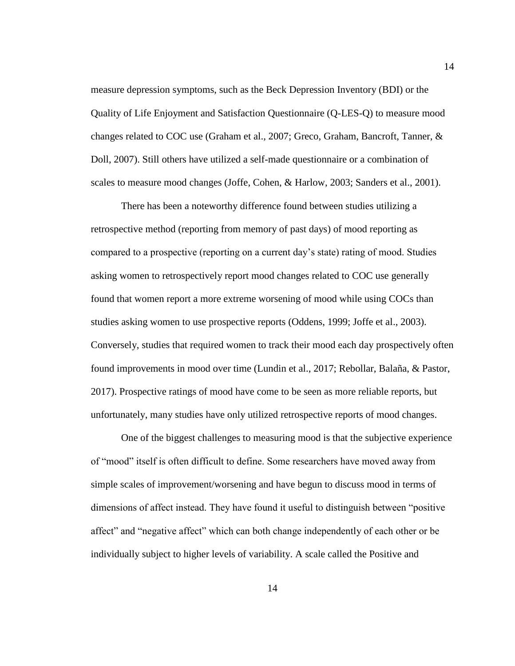measure depression symptoms, such as the Beck Depression Inventory (BDI) or the Quality of Life Enjoyment and Satisfaction Questionnaire (Q-LES-Q) to measure mood changes related to COC use (Graham et al., 2007; Greco, Graham, Bancroft, Tanner, & Doll, 2007). Still others have utilized a self-made questionnaire or a combination of scales to measure mood changes (Joffe, Cohen, & Harlow, 2003; Sanders et al., 2001).

There has been a noteworthy difference found between studies utilizing a retrospective method (reporting from memory of past days) of mood reporting as compared to a prospective (reporting on a current day's state) rating of mood. Studies asking women to retrospectively report mood changes related to COC use generally found that women report a more extreme worsening of mood while using COCs than studies asking women to use prospective reports (Oddens, 1999; Joffe et al., 2003). Conversely, studies that required women to track their mood each day prospectively often found improvements in mood over time (Lundin et al., 2017; Rebollar, Balaña, & Pastor, 2017). Prospective ratings of mood have come to be seen as more reliable reports, but unfortunately, many studies have only utilized retrospective reports of mood changes.

One of the biggest challenges to measuring mood is that the subjective experience of "mood" itself is often difficult to define. Some researchers have moved away from simple scales of improvement/worsening and have begun to discuss mood in terms of dimensions of affect instead. They have found it useful to distinguish between "positive affect" and "negative affect" which can both change independently of each other or be individually subject to higher levels of variability. A scale called the Positive and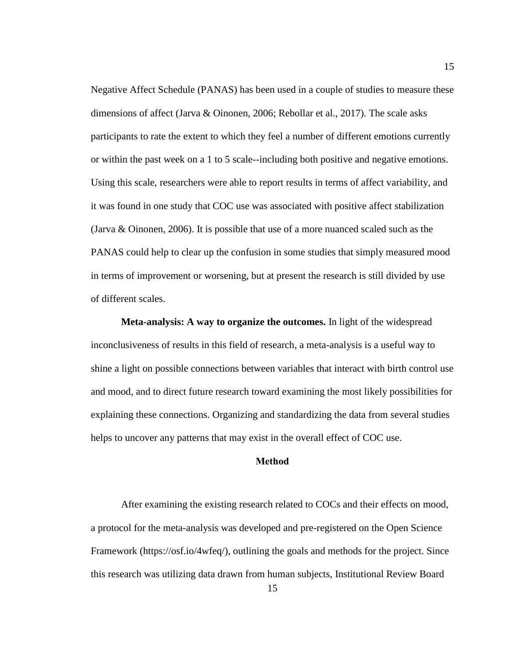Negative Affect Schedule (PANAS) has been used in a couple of studies to measure these dimensions of affect (Jarva & Oinonen, 2006; Rebollar et al., 2017). The scale asks participants to rate the extent to which they feel a number of different emotions currently or within the past week on a 1 to 5 scale--including both positive and negative emotions. Using this scale, researchers were able to report results in terms of affect variability, and it was found in one study that COC use was associated with positive affect stabilization (Jarva & Oinonen, 2006). It is possible that use of a more nuanced scaled such as the PANAS could help to clear up the confusion in some studies that simply measured mood in terms of improvement or worsening, but at present the research is still divided by use of different scales.

<span id="page-23-0"></span>**Meta-analysis: A way to organize the outcomes.** In light of the widespread inconclusiveness of results in this field of research, a meta-analysis is a useful way to shine a light on possible connections between variables that interact with birth control use and mood, and to direct future research toward examining the most likely possibilities for explaining these connections. Organizing and standardizing the data from several studies helps to uncover any patterns that may exist in the overall effect of COC use.

#### **Method**

<span id="page-23-1"></span>After examining the existing research related to COCs and their effects on mood, a protocol for the meta-analysis was developed and pre-registered on the Open Science Framework (https://osf.io/4wfeq/), outlining the goals and methods for the project. Since this research was utilizing data drawn from human subjects, Institutional Review Board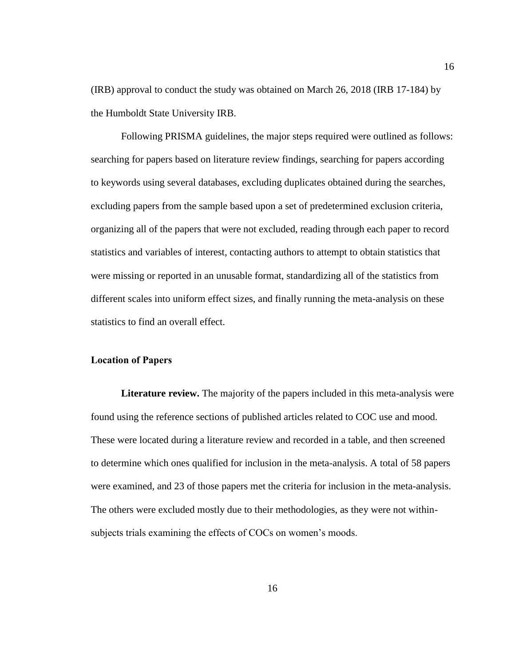(IRB) approval to conduct the study was obtained on March 26, 2018 (IRB 17-184) by the Humboldt State University IRB.

Following PRISMA guidelines, the major steps required were outlined as follows: searching for papers based on literature review findings, searching for papers according to keywords using several databases, excluding duplicates obtained during the searches, excluding papers from the sample based upon a set of predetermined exclusion criteria, organizing all of the papers that were not excluded, reading through each paper to record statistics and variables of interest, contacting authors to attempt to obtain statistics that were missing or reported in an unusable format, standardizing all of the statistics from different scales into uniform effect sizes, and finally running the meta-analysis on these statistics to find an overall effect.

#### <span id="page-24-0"></span>**Location of Papers**

<span id="page-24-1"></span>**Literature review.** The majority of the papers included in this meta-analysis were found using the reference sections of published articles related to COC use and mood. These were located during a literature review and recorded in a table, and then screened to determine which ones qualified for inclusion in the meta-analysis. A total of 58 papers were examined, and 23 of those papers met the criteria for inclusion in the meta-analysis. The others were excluded mostly due to their methodologies, as they were not withinsubjects trials examining the effects of COCs on women's moods.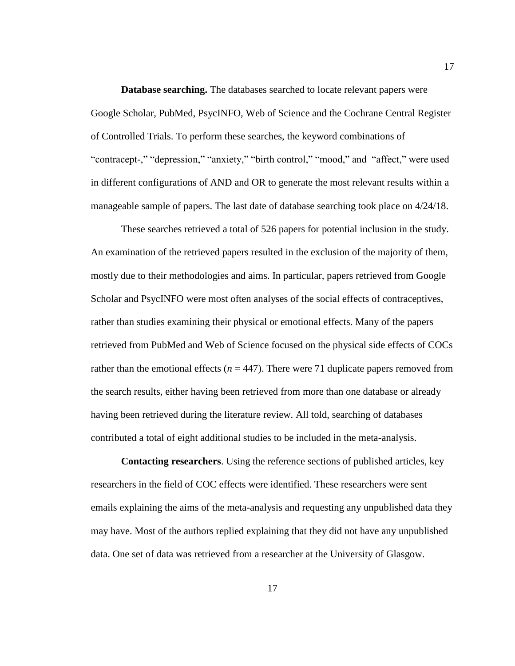<span id="page-25-0"></span>**Database searching.** The databases searched to locate relevant papers were Google Scholar, PubMed, PsycINFO, Web of Science and the Cochrane Central Register of Controlled Trials. To perform these searches, the keyword combinations of "contracept-," "depression," "anxiety," "birth control," "mood," and "affect," were used in different configurations of AND and OR to generate the most relevant results within a manageable sample of papers. The last date of database searching took place on 4/24/18.

These searches retrieved a total of 526 papers for potential inclusion in the study. An examination of the retrieved papers resulted in the exclusion of the majority of them, mostly due to their methodologies and aims. In particular, papers retrieved from Google Scholar and PsycINFO were most often analyses of the social effects of contraceptives, rather than studies examining their physical or emotional effects. Many of the papers retrieved from PubMed and Web of Science focused on the physical side effects of COCs rather than the emotional effects ( $n = 447$ ). There were 71 duplicate papers removed from the search results, either having been retrieved from more than one database or already having been retrieved during the literature review. All told, searching of databases contributed a total of eight additional studies to be included in the meta-analysis.

<span id="page-25-1"></span>**Contacting researchers**. Using the reference sections of published articles, key researchers in the field of COC effects were identified. These researchers were sent emails explaining the aims of the meta-analysis and requesting any unpublished data they may have. Most of the authors replied explaining that they did not have any unpublished data. One set of data was retrieved from a researcher at the University of Glasgow.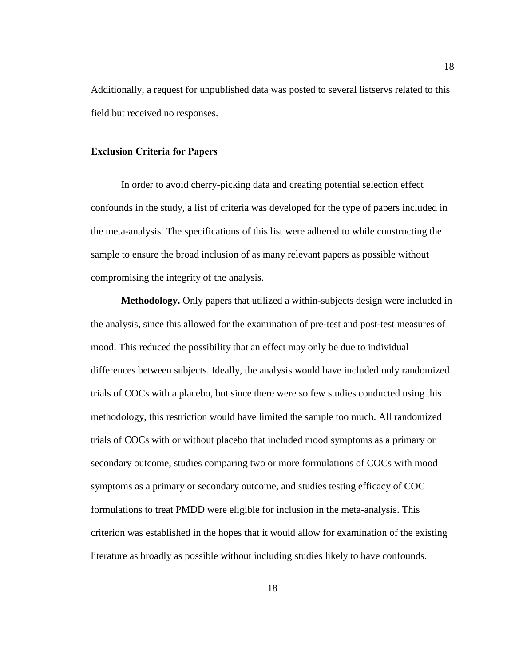Additionally, a request for unpublished data was posted to several listservs related to this field but received no responses.

#### <span id="page-26-0"></span>**Exclusion Criteria for Papers**

In order to avoid cherry-picking data and creating potential selection effect confounds in the study, a list of criteria was developed for the type of papers included in the meta-analysis. The specifications of this list were adhered to while constructing the sample to ensure the broad inclusion of as many relevant papers as possible without compromising the integrity of the analysis.

<span id="page-26-1"></span>**Methodology.** Only papers that utilized a within-subjects design were included in the analysis, since this allowed for the examination of pre-test and post-test measures of mood. This reduced the possibility that an effect may only be due to individual differences between subjects. Ideally, the analysis would have included only randomized trials of COCs with a placebo, but since there were so few studies conducted using this methodology, this restriction would have limited the sample too much. All randomized trials of COCs with or without placebo that included mood symptoms as a primary or secondary outcome, studies comparing two or more formulations of COCs with mood symptoms as a primary or secondary outcome, and studies testing efficacy of COC formulations to treat PMDD were eligible for inclusion in the meta-analysis. This criterion was established in the hopes that it would allow for examination of the existing literature as broadly as possible without including studies likely to have confounds.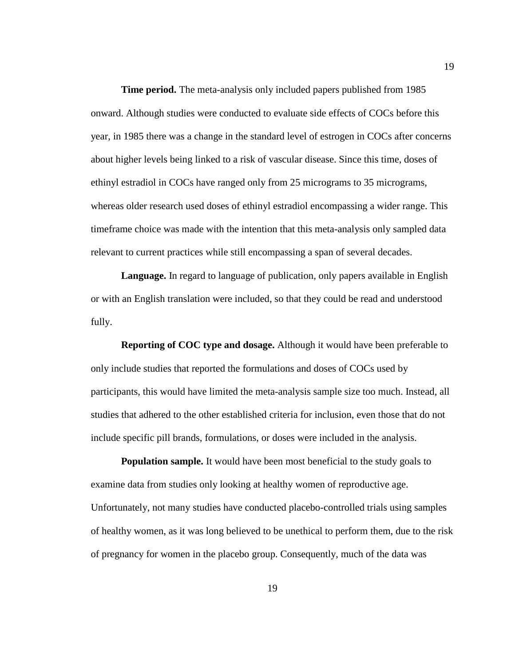<span id="page-27-0"></span>**Time period.** The meta-analysis only included papers published from 1985 onward. Although studies were conducted to evaluate side effects of COCs before this year, in 1985 there was a change in the standard level of estrogen in COCs after concerns about higher levels being linked to a risk of vascular disease. Since this time, doses of ethinyl estradiol in COCs have ranged only from 25 micrograms to 35 micrograms, whereas older research used doses of ethinyl estradiol encompassing a wider range. This timeframe choice was made with the intention that this meta-analysis only sampled data relevant to current practices while still encompassing a span of several decades.

<span id="page-27-1"></span>**Language.** In regard to language of publication, only papers available in English or with an English translation were included, so that they could be read and understood fully.

<span id="page-27-2"></span>**Reporting of COC type and dosage.** Although it would have been preferable to only include studies that reported the formulations and doses of COCs used by participants, this would have limited the meta-analysis sample size too much. Instead, all studies that adhered to the other established criteria for inclusion, even those that do not include specific pill brands, formulations, or doses were included in the analysis.

<span id="page-27-3"></span>**Population sample.** It would have been most beneficial to the study goals to examine data from studies only looking at healthy women of reproductive age. Unfortunately, not many studies have conducted placebo-controlled trials using samples of healthy women, as it was long believed to be unethical to perform them, due to the risk of pregnancy for women in the placebo group. Consequently, much of the data was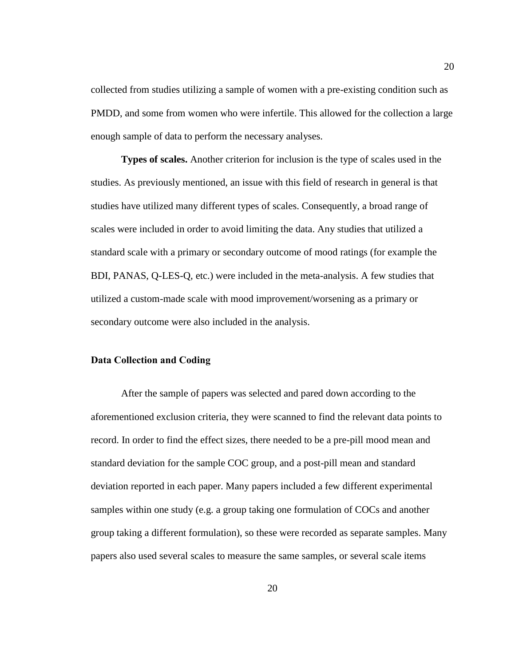collected from studies utilizing a sample of women with a pre-existing condition such as PMDD, and some from women who were infertile. This allowed for the collection a large enough sample of data to perform the necessary analyses.

<span id="page-28-0"></span>**Types of scales.** Another criterion for inclusion is the type of scales used in the studies. As previously mentioned, an issue with this field of research in general is that studies have utilized many different types of scales. Consequently, a broad range of scales were included in order to avoid limiting the data. Any studies that utilized a standard scale with a primary or secondary outcome of mood ratings (for example the BDI, PANAS, Q-LES-Q, etc.) were included in the meta-analysis. A few studies that utilized a custom-made scale with mood improvement/worsening as a primary or secondary outcome were also included in the analysis.

#### <span id="page-28-1"></span>**Data Collection and Coding**

After the sample of papers was selected and pared down according to the aforementioned exclusion criteria, they were scanned to find the relevant data points to record. In order to find the effect sizes, there needed to be a pre-pill mood mean and standard deviation for the sample COC group, and a post-pill mean and standard deviation reported in each paper. Many papers included a few different experimental samples within one study (e.g. a group taking one formulation of COCs and another group taking a different formulation), so these were recorded as separate samples. Many papers also used several scales to measure the same samples, or several scale items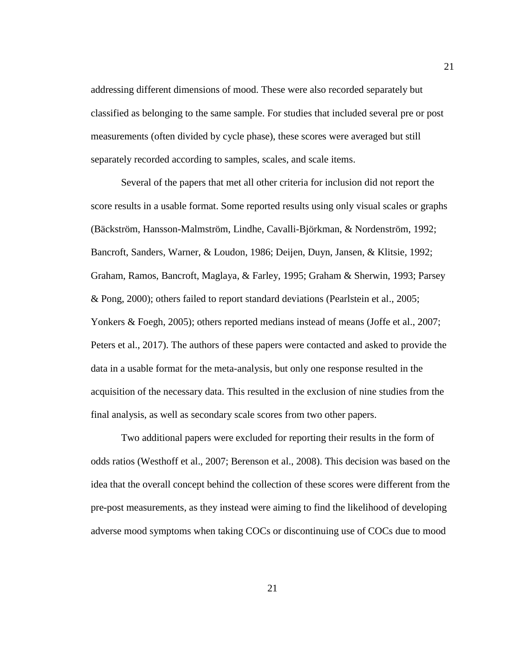addressing different dimensions of mood. These were also recorded separately but classified as belonging to the same sample. For studies that included several pre or post measurements (often divided by cycle phase), these scores were averaged but still separately recorded according to samples, scales, and scale items.

Several of the papers that met all other criteria for inclusion did not report the score results in a usable format. Some reported results using only visual scales or graphs (Bäckström, Hansson-Malmström, Lindhe, Cavalli-Björkman, & Nordenström, 1992; Bancroft, Sanders, Warner, & Loudon, 1986; Deijen, Duyn, Jansen, & Klitsie, 1992; Graham, Ramos, Bancroft, Maglaya, & Farley, 1995; Graham & Sherwin, 1993; Parsey & Pong, 2000); others failed to report standard deviations (Pearlstein et al., 2005; Yonkers & Foegh, 2005); others reported medians instead of means (Joffe et al., 2007; Peters et al., 2017). The authors of these papers were contacted and asked to provide the data in a usable format for the meta-analysis, but only one response resulted in the acquisition of the necessary data. This resulted in the exclusion of nine studies from the final analysis, as well as secondary scale scores from two other papers.

Two additional papers were excluded for reporting their results in the form of odds ratios (Westhoff et al., 2007; Berenson et al., 2008). This decision was based on the idea that the overall concept behind the collection of these scores were different from the pre-post measurements, as they instead were aiming to find the likelihood of developing adverse mood symptoms when taking COCs or discontinuing use of COCs due to mood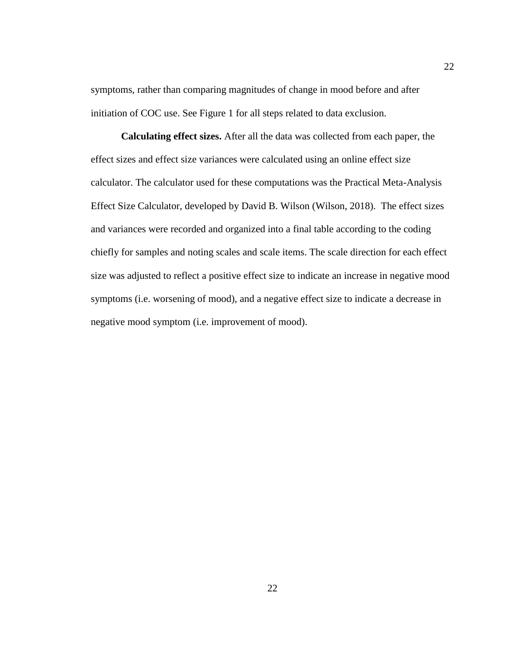symptoms, rather than comparing magnitudes of change in mood before and after initiation of COC use. See Figure 1 for all steps related to data exclusion.

<span id="page-30-0"></span>**Calculating effect sizes.** After all the data was collected from each paper, the effect sizes and effect size variances were calculated using an online effect size calculator. The calculator used for these computations was the Practical Meta-Analysis Effect Size Calculator, developed by David B. Wilson (Wilson, 2018). The effect sizes and variances were recorded and organized into a final table according to the coding chiefly for samples and noting scales and scale items. The scale direction for each effect size was adjusted to reflect a positive effect size to indicate an increase in negative mood symptoms (i.e. worsening of mood), and a negative effect size to indicate a decrease in negative mood symptom (i.e. improvement of mood).

22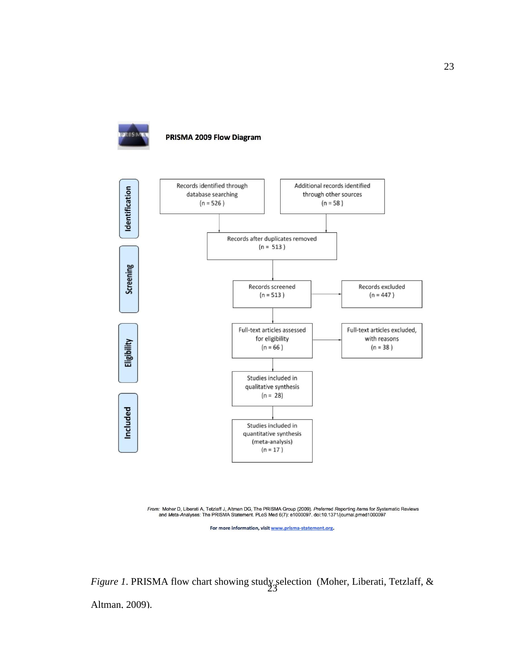

PRISMA 2009 Flow Diagram



From: Moher D, Liberati A, Tetzlaff J, Altman DG, The PRISMA Group (2009). Preferred Reporting *I*tems for Systematic Reviews<br>and Meta-Analyses: The PRISMA Statement. PLoS Med 6(7): e1000097. doi:10.1371/journal.pmed100009

For more information, visit www.prisma-statement.org.

*Figure 1*. PRISMA flow chart showing study selection (Moher, Liberati, Tetzlaff, & Altman, 2009).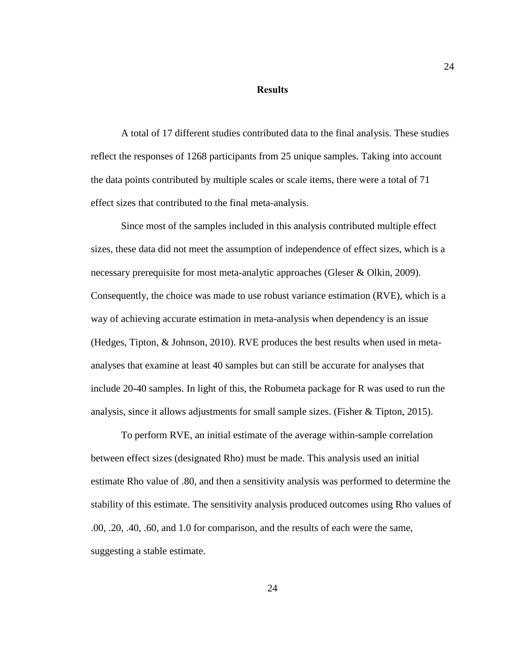#### **Results**

<span id="page-32-0"></span>A total of 17 different studies contributed data to the final analysis. These studies reflect the responses of 1268 participants from 25 unique samples. Taking into account the data points contributed by multiple scales or scale items, there were a total of 71 effect sizes that contributed to the final meta-analysis.

Since most of the samples included in this analysis contributed multiple effect sizes, these data did not meet the assumption of independence of effect sizes, which is a necessary prerequisite for most meta-analytic approaches (Gleser & Olkin, 2009). Consequently, the choice was made to use robust variance estimation (RVE), which is a way of achieving accurate estimation in meta-analysis when dependency is an issue (Hedges, Tipton, & Johnson, 2010). RVE produces the best results when used in metaanalyses that examine at least 40 samples but can still be accurate for analyses that include 20-40 samples. In light of this, the Robumeta package for R was used to run the analysis, since it allows adjustments for small sample sizes. (Fisher & Tipton, 2015).

To perform RVE, an initial estimate of the average within-sample correlation between effect sizes (designated Rho) must be made. This analysis used an initial estimate Rho value of .80, and then a sensitivity analysis was performed to determine the stability of this estimate. The sensitivity analysis produced outcomes using Rho values of .00, .20, .40, .60, and 1.0 for comparison, and the results of each were the same, suggesting a stable estimate.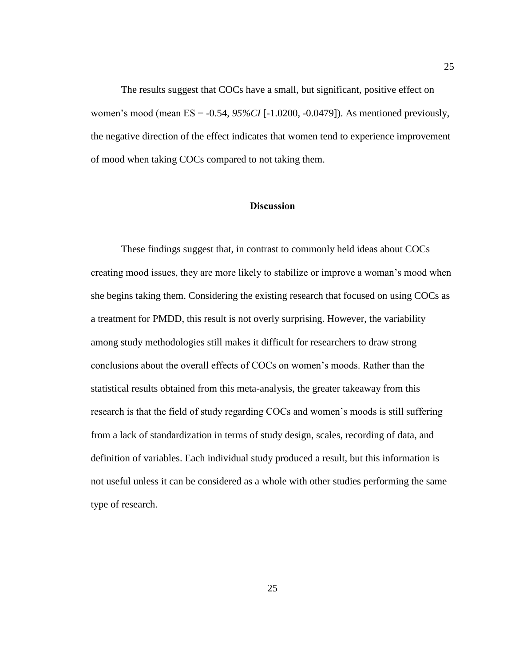The results suggest that COCs have a small, but significant, positive effect on women's mood (mean ES = -0.54, *95%CI* [-1.0200, -0.0479]). As mentioned previously, the negative direction of the effect indicates that women tend to experience improvement of mood when taking COCs compared to not taking them.

### **Discussion**

<span id="page-33-0"></span>These findings suggest that, in contrast to commonly held ideas about COCs creating mood issues, they are more likely to stabilize or improve a woman's mood when she begins taking them. Considering the existing research that focused on using COCs as a treatment for PMDD, this result is not overly surprising. However, the variability among study methodologies still makes it difficult for researchers to draw strong conclusions about the overall effects of COCs on women's moods. Rather than the statistical results obtained from this meta-analysis, the greater takeaway from this research is that the field of study regarding COCs and women's moods is still suffering from a lack of standardization in terms of study design, scales, recording of data, and definition of variables. Each individual study produced a result, but this information is not useful unless it can be considered as a whole with other studies performing the same type of research.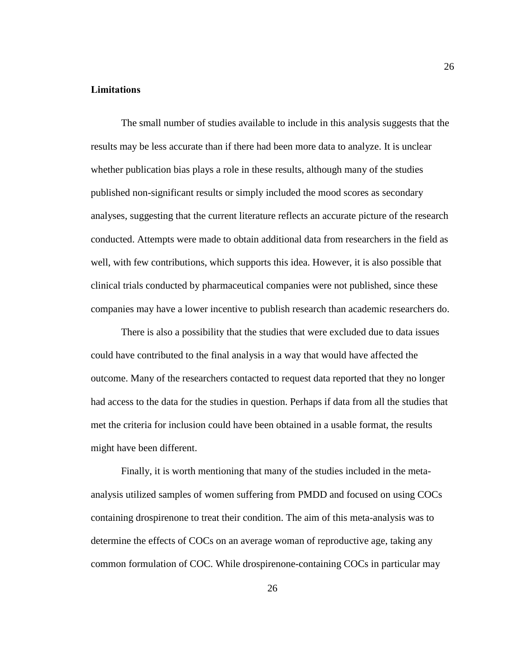#### <span id="page-34-0"></span>**Limitations**

The small number of studies available to include in this analysis suggests that the results may be less accurate than if there had been more data to analyze. It is unclear whether publication bias plays a role in these results, although many of the studies published non-significant results or simply included the mood scores as secondary analyses, suggesting that the current literature reflects an accurate picture of the research conducted. Attempts were made to obtain additional data from researchers in the field as well, with few contributions, which supports this idea. However, it is also possible that clinical trials conducted by pharmaceutical companies were not published, since these companies may have a lower incentive to publish research than academic researchers do.

There is also a possibility that the studies that were excluded due to data issues could have contributed to the final analysis in a way that would have affected the outcome. Many of the researchers contacted to request data reported that they no longer had access to the data for the studies in question. Perhaps if data from all the studies that met the criteria for inclusion could have been obtained in a usable format, the results might have been different.

Finally, it is worth mentioning that many of the studies included in the metaanalysis utilized samples of women suffering from PMDD and focused on using COCs containing drospirenone to treat their condition. The aim of this meta-analysis was to determine the effects of COCs on an average woman of reproductive age, taking any common formulation of COC. While drospirenone-containing COCs in particular may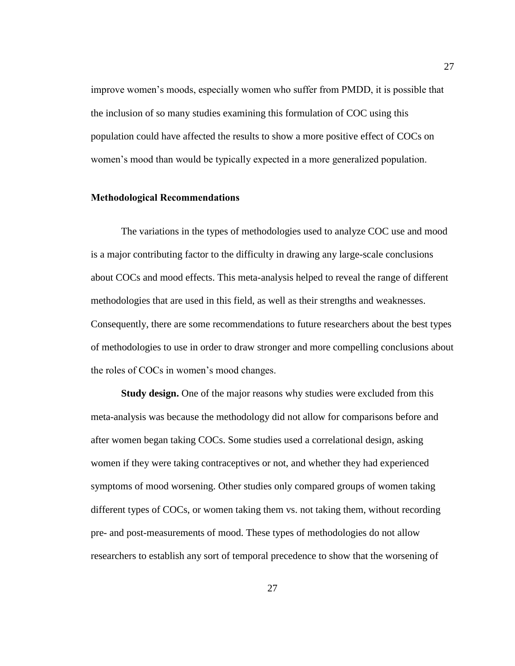improve women's moods, especially women who suffer from PMDD, it is possible that the inclusion of so many studies examining this formulation of COC using this population could have affected the results to show a more positive effect of COCs on women's mood than would be typically expected in a more generalized population.

#### <span id="page-35-0"></span>**Methodological Recommendations**

The variations in the types of methodologies used to analyze COC use and mood is a major contributing factor to the difficulty in drawing any large-scale conclusions about COCs and mood effects. This meta-analysis helped to reveal the range of different methodologies that are used in this field, as well as their strengths and weaknesses. Consequently, there are some recommendations to future researchers about the best types of methodologies to use in order to draw stronger and more compelling conclusions about the roles of COCs in women's mood changes.

<span id="page-35-1"></span>**Study design.** One of the major reasons why studies were excluded from this meta-analysis was because the methodology did not allow for comparisons before and after women began taking COCs. Some studies used a correlational design, asking women if they were taking contraceptives or not, and whether they had experienced symptoms of mood worsening. Other studies only compared groups of women taking different types of COCs, or women taking them vs. not taking them, without recording pre- and post-measurements of mood. These types of methodologies do not allow researchers to establish any sort of temporal precedence to show that the worsening of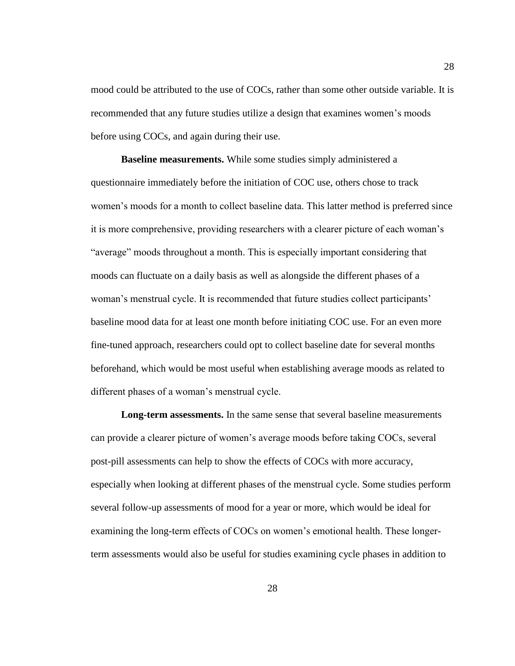mood could be attributed to the use of COCs, rather than some other outside variable. It is recommended that any future studies utilize a design that examines women's moods before using COCs, and again during their use.

<span id="page-36-0"></span>**Baseline measurements.** While some studies simply administered a questionnaire immediately before the initiation of COC use, others chose to track women's moods for a month to collect baseline data. This latter method is preferred since it is more comprehensive, providing researchers with a clearer picture of each woman's "average" moods throughout a month. This is especially important considering that moods can fluctuate on a daily basis as well as alongside the different phases of a woman's menstrual cycle. It is recommended that future studies collect participants' baseline mood data for at least one month before initiating COC use. For an even more fine-tuned approach, researchers could opt to collect baseline date for several months beforehand, which would be most useful when establishing average moods as related to different phases of a woman's menstrual cycle.

<span id="page-36-1"></span>**Long-term assessments.** In the same sense that several baseline measurements can provide a clearer picture of women's average moods before taking COCs, several post-pill assessments can help to show the effects of COCs with more accuracy, especially when looking at different phases of the menstrual cycle. Some studies perform several follow-up assessments of mood for a year or more, which would be ideal for examining the long-term effects of COCs on women's emotional health. These longerterm assessments would also be useful for studies examining cycle phases in addition to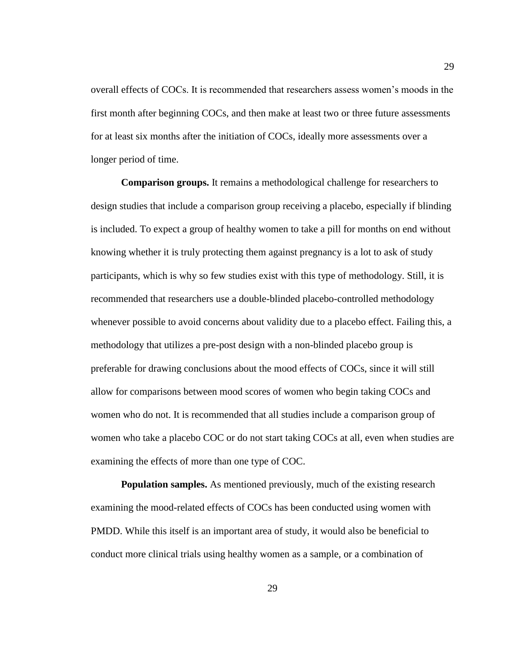overall effects of COCs. It is recommended that researchers assess women's moods in the first month after beginning COCs, and then make at least two or three future assessments for at least six months after the initiation of COCs, ideally more assessments over a longer period of time.

<span id="page-37-0"></span>**Comparison groups.** It remains a methodological challenge for researchers to design studies that include a comparison group receiving a placebo, especially if blinding is included. To expect a group of healthy women to take a pill for months on end without knowing whether it is truly protecting them against pregnancy is a lot to ask of study participants, which is why so few studies exist with this type of methodology. Still, it is recommended that researchers use a double-blinded placebo-controlled methodology whenever possible to avoid concerns about validity due to a placebo effect. Failing this, a methodology that utilizes a pre-post design with a non-blinded placebo group is preferable for drawing conclusions about the mood effects of COCs, since it will still allow for comparisons between mood scores of women who begin taking COCs and women who do not. It is recommended that all studies include a comparison group of women who take a placebo COC or do not start taking COCs at all, even when studies are examining the effects of more than one type of COC.

<span id="page-37-1"></span>**Population samples.** As mentioned previously, much of the existing research examining the mood-related effects of COCs has been conducted using women with PMDD. While this itself is an important area of study, it would also be beneficial to conduct more clinical trials using healthy women as a sample, or a combination of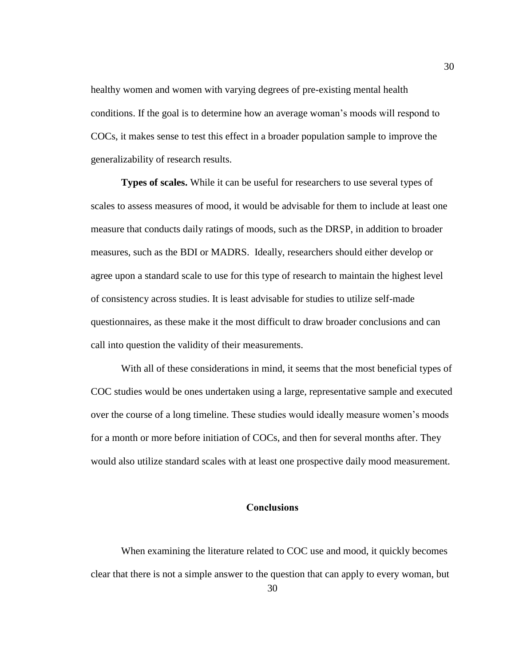healthy women and women with varying degrees of pre-existing mental health conditions. If the goal is to determine how an average woman's moods will respond to COCs, it makes sense to test this effect in a broader population sample to improve the generalizability of research results.

<span id="page-38-0"></span>**Types of scales.** While it can be useful for researchers to use several types of scales to assess measures of mood, it would be advisable for them to include at least one measure that conducts daily ratings of moods, such as the DRSP, in addition to broader measures, such as the BDI or MADRS. Ideally, researchers should either develop or agree upon a standard scale to use for this type of research to maintain the highest level of consistency across studies. It is least advisable for studies to utilize self-made questionnaires, as these make it the most difficult to draw broader conclusions and can call into question the validity of their measurements.

With all of these considerations in mind, it seems that the most beneficial types of COC studies would be ones undertaken using a large, representative sample and executed over the course of a long timeline. These studies would ideally measure women's moods for a month or more before initiation of COCs, and then for several months after. They would also utilize standard scales with at least one prospective daily mood measurement.

#### **Conclusions**

<span id="page-38-1"></span>When examining the literature related to COC use and mood, it quickly becomes clear that there is not a simple answer to the question that can apply to every woman, but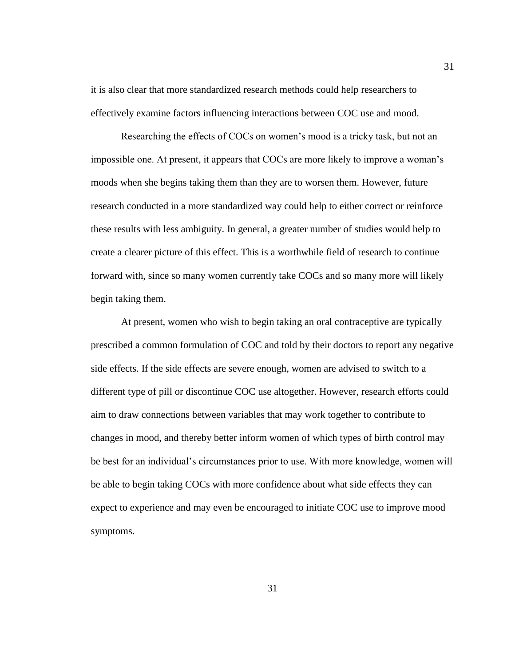it is also clear that more standardized research methods could help researchers to effectively examine factors influencing interactions between COC use and mood.

Researching the effects of COCs on women's mood is a tricky task, but not an impossible one. At present, it appears that COCs are more likely to improve a woman's moods when she begins taking them than they are to worsen them. However, future research conducted in a more standardized way could help to either correct or reinforce these results with less ambiguity. In general, a greater number of studies would help to create a clearer picture of this effect. This is a worthwhile field of research to continue forward with, since so many women currently take COCs and so many more will likely begin taking them.

At present, women who wish to begin taking an oral contraceptive are typically prescribed a common formulation of COC and told by their doctors to report any negative side effects. If the side effects are severe enough, women are advised to switch to a different type of pill or discontinue COC use altogether. However, research efforts could aim to draw connections between variables that may work together to contribute to changes in mood, and thereby better inform women of which types of birth control may be best for an individual's circumstances prior to use. With more knowledge, women will be able to begin taking COCs with more confidence about what side effects they can expect to experience and may even be encouraged to initiate COC use to improve mood symptoms.

31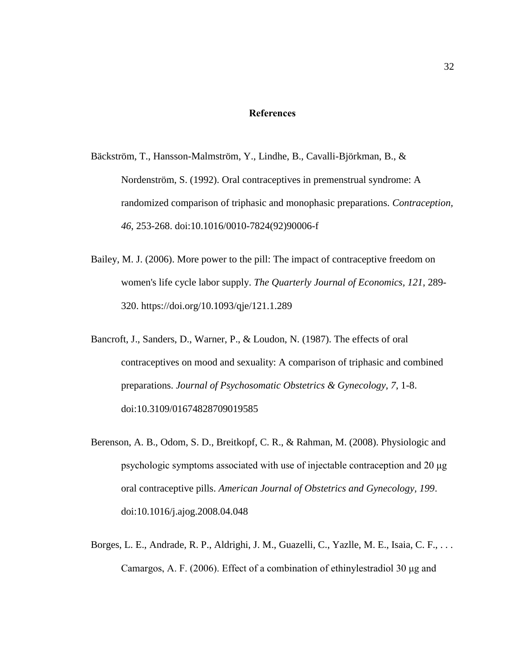#### **References**

- <span id="page-40-0"></span>[Bäckström, T., Hansson-Malmström, Y., Lindhe, B., Cavalli-Björkman, B., &](http://libguides.humboldt.edu/cite)  [Nordenström, S. \(1992\). Oral contraceptives in premenstrual syndrome: A](http://libguides.humboldt.edu/cite)  [randomized comparison of triphasic and monophasic preparations.](http://libguides.humboldt.edu/cite) *Contraception, 46*[, 253-268. doi:10.1016/0010-7824\(92\)90006-f](http://libguides.humboldt.edu/cite)
- Bailey, M. J. (2006). More power to the pill: The impact of contraceptive freedom on women's life cycle labor supply. *The Quarterly Journal of Economics, 121*, 289- 320. https://doi.org/10.1093/qje/121.1.289
- Bancroft, J., Sanders, D., Warner, P., & Loudon, N. (1987). The effects of oral contraceptives on mood and sexuality: A comparison of triphasic and combined preparations. *Journal of Psychosomatic Obstetrics & Gynecology, 7*, 1-8. doi:10.3109/01674828709019585
- Berenson, A. B., Odom, S. D., Breitkopf, C. R., & Rahman, M. (2008). Physiologic and psychologic symptoms associated with use of injectable contraception and 20 μg oral contraceptive pills. *American Journal of Obstetrics and Gynecology, 199*. doi:10.1016/j.ajog.2008.04.048
- Borges, L. E., Andrade, R. P., Aldrighi, J. M., Guazelli, C., Yazlle, M. E., Isaia, C. F., . . . Camargos, A. F. (2006). Effect of a combination of ethinylestradiol 30 μg and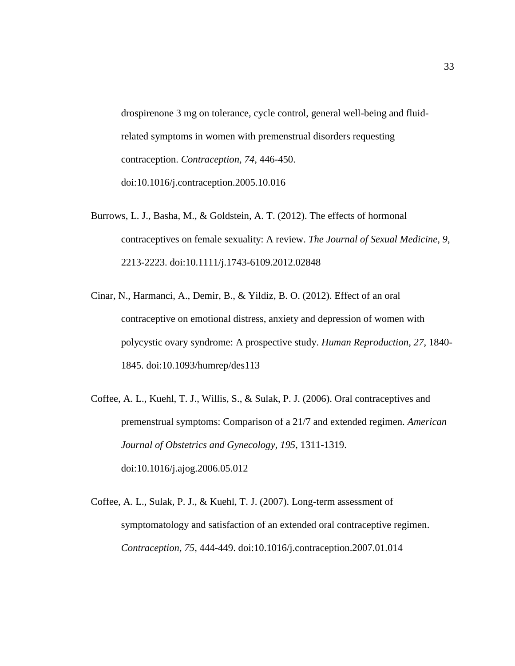drospirenone 3 mg on tolerance, cycle control, general well-being and fluidrelated symptoms in women with premenstrual disorders requesting contraception. *Contraception, 74*, 446-450. doi:10.1016/j.contraception.2005.10.016

- Burrows, L. J., Basha, M., & Goldstein, A. T. (2012). The effects of hormonal contraceptives on female sexuality: A review. *The Journal of Sexual Medicine, 9*, 2213-2223. doi:10.1111/j.1743-6109.2012.02848
- Cinar, N., Harmanci, A., Demir, B., & Yildiz, B. O. (2012). Effect of an oral contraceptive on emotional distress, anxiety and depression of women with polycystic ovary syndrome: A prospective study. *Human Reproduction, 27*, 1840- 1845. doi:10.1093/humrep/des113
- Coffee, A. L., Kuehl, T. J., Willis, S., & Sulak, P. J. (2006). Oral contraceptives and premenstrual symptoms: Comparison of a 21/7 and extended regimen. *American Journal of Obstetrics and Gynecology, 195*, 1311-1319. doi:10.1016/j.ajog.2006.05.012
- Coffee, A. L., Sulak, P. J., & Kuehl, T. J. (2007). Long-term assessment of symptomatology and satisfaction of an extended oral contraceptive regimen. *Contraception, 75*, 444-449. doi:10.1016/j.contraception.2007.01.014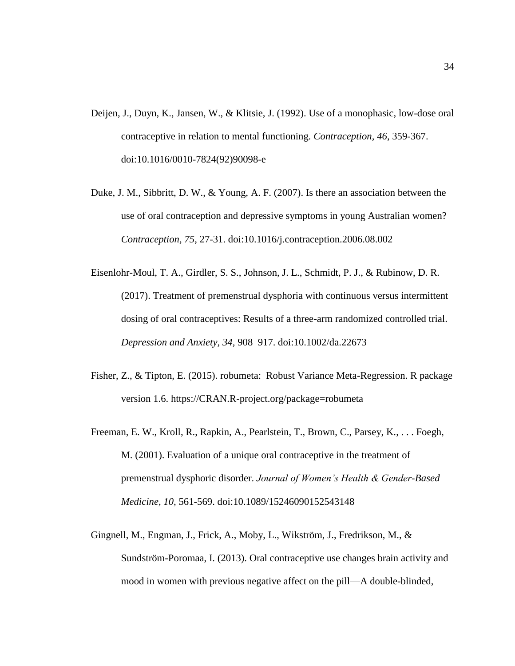- Deijen, J., Duyn, K., Jansen, W., & Klitsie, J. (1992). Use of a monophasic, low-dose oral contraceptive in relation to mental functioning. *Contraception, 46*, 359-367. doi:10.1016/0010-7824(92)90098-e
- Duke, J. M., Sibbritt, D. W., & Young, A. F. (2007). Is there an association between the use of oral contraception and depressive symptoms in young Australian women? *Contraception, 75*, 27-31. doi:10.1016/j.contraception.2006.08.002
- Eisenlohr-Moul, T. A., Girdler, S. S., Johnson, J. L., Schmidt, P. J., & Rubinow, D. R. (2017). Treatment of premenstrual dysphoria with continuous versus intermittent dosing of oral contraceptives: Results of a three-arm randomized controlled trial. *Depression and Anxiety, 34,* 908–917. doi:10.1002/da.22673
- Fisher, Z., & Tipton, E. (2015). robumeta: Robust Variance Meta-Regression. R package version 1.6. https://CRAN.R-project.org/package=robumeta
- Freeman, E. W., Kroll, R., Rapkin, A., Pearlstein, T., Brown, C., Parsey, K., . . . Foegh, M. (2001). Evaluation of a unique oral contraceptive in the treatment of premenstrual dysphoric disorder. *Journal of Women's Health & Gender-Based Medicine, 10,* 561-569. doi:10.1089/15246090152543148
- Gingnell, M., Engman, J., Frick, A., Moby, L., Wikström, J., Fredrikson, M., & Sundström-Poromaa, I. (2013). Oral contraceptive use changes brain activity and mood in women with previous negative affect on the pill—A double-blinded,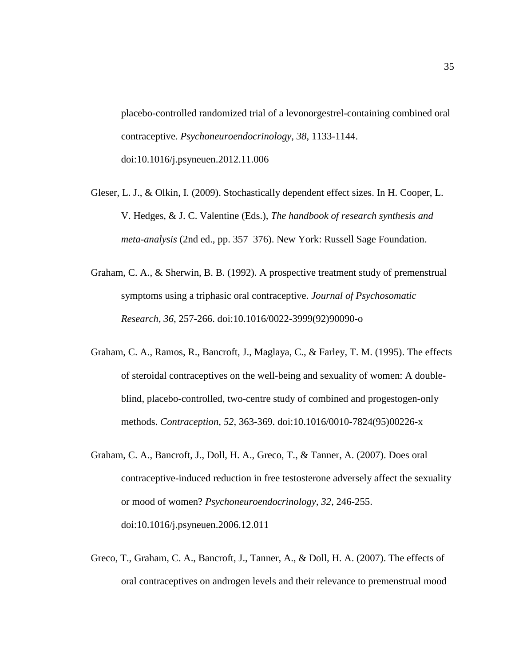placebo-controlled randomized trial of a levonorgestrel-containing combined oral contraceptive. *Psychoneuroendocrinology, 38*, 1133-1144. doi:10.1016/j.psyneuen.2012.11.006

- Gleser, L. J., & Olkin, I. (2009). Stochastically dependent effect sizes. In H. Cooper, L. V. Hedges, & J. C. Valentine (Eds.), *The handbook of research synthesis and meta-analysis* (2nd ed., pp. 357–376). New York: Russell Sage Foundation.
- Graham, C. A., & Sherwin, B. B. (1992). A prospective treatment study of premenstrual symptoms using a triphasic oral contraceptive. *Journal of Psychosomatic Research, 36*, 257-266. doi:10.1016/0022-3999(92)90090-o
- Graham, C. A., Ramos, R., Bancroft, J., Maglaya, C., & Farley, T. M. (1995). The effects of steroidal contraceptives on the well-being and sexuality of women: A doubleblind, placebo-controlled, two-centre study of combined and progestogen-only methods. *Contraception, 52*, 363-369. doi:10.1016/0010-7824(95)00226-x
- Graham, C. A., Bancroft, J., Doll, H. A., Greco, T., & Tanner, A. (2007). Does oral contraceptive-induced reduction in free testosterone adversely affect the sexuality or mood of women? *Psychoneuroendocrinology, 32*, 246-255. doi:10.1016/j.psyneuen.2006.12.011
- Greco, T., Graham, C. A., Bancroft, J., Tanner, A., & Doll, H. A. (2007). The effects of oral contraceptives on androgen levels and their relevance to premenstrual mood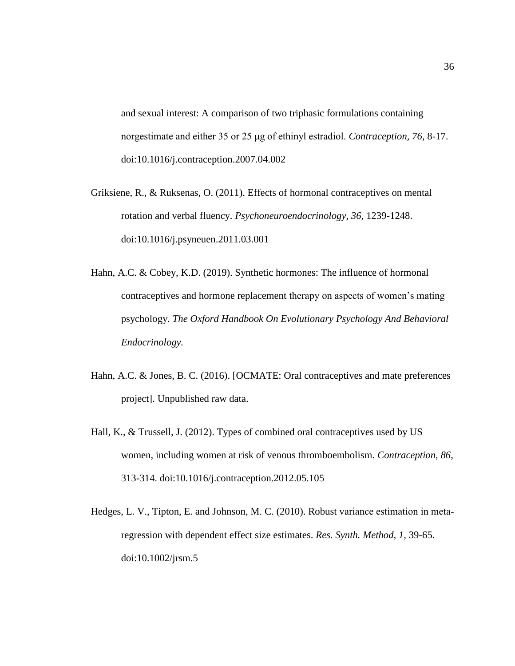and sexual interest: A comparison of two triphasic formulations containing norgestimate and either 35 or 25 μg of ethinyl estradiol. *Contraception, 76*, 8-17. doi:10.1016/j.contraception.2007.04.002

- Griksiene, R., & Ruksenas, O. (2011). Effects of hormonal contraceptives on mental rotation and verbal fluency. *Psychoneuroendocrinology, 36*, 1239-1248. doi:10.1016/j.psyneuen.2011.03.001
- Hahn, A.C. & Cobey, K.D. (2019). Synthetic hormones: The influence of hormonal contraceptives and hormone replacement therapy on aspects of women's mating psychology. *The Oxford Handbook On Evolutionary Psychology And Behavioral Endocrinology.*
- Hahn, A.C. & Jones, B. C. (2016). [OCMATE: Oral contraceptives and mate preferences project]. Unpublished raw data.
- Hall, K., & Trussell, J. (2012). Types of combined oral contraceptives used by US women, including women at risk of venous thromboembolism. *Contraception, 86*, 313-314. doi:10.1016/j.contraception.2012.05.105
- Hedges, L. V., Tipton, E. and Johnson, M. C. (2010). Robust variance estimation in metaregression with dependent effect size estimates. *Res. Synth. Method, 1,* 39-65. doi:10.1002/jrsm.5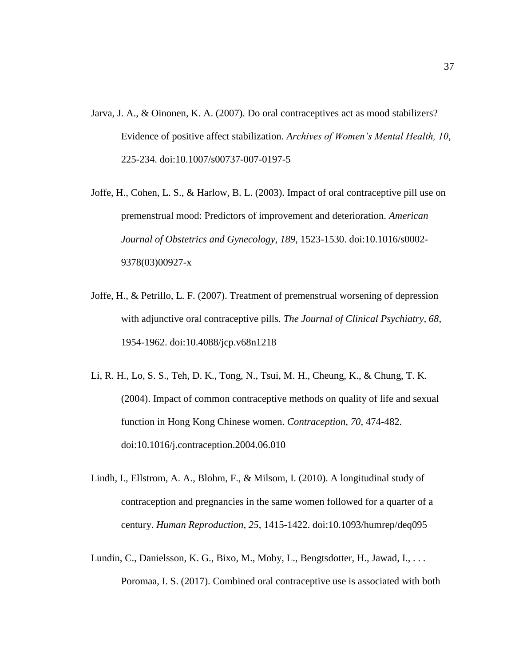- Jarva, J. A., & Oinonen, K. A. (2007). Do oral contraceptives act as mood stabilizers? Evidence of positive affect stabilization. *Archives of Women's Mental Health, 10*, 225-234. doi:10.1007/s00737-007-0197-5
- Joffe, H., Cohen, L. S., & Harlow, B. L. (2003). Impact of oral contraceptive pill use on premenstrual mood: Predictors of improvement and deterioration. *American Journal of Obstetrics and Gynecology, 189*, 1523-1530. doi:10.1016/s0002- 9378(03)00927-x
- Joffe, H., & Petrillo, L. F. (2007). Treatment of premenstrual worsening of depression with adjunctive oral contraceptive pills. *The Journal of Clinical Psychiatry, 68*, 1954-1962. doi:10.4088/jcp.v68n1218
- Li, R. H., Lo, S. S., Teh, D. K., Tong, N., Tsui, M. H., Cheung, K., & Chung, T. K. (2004). Impact of common contraceptive methods on quality of life and sexual function in Hong Kong Chinese women. *Contraception, 70*, 474-482. doi:10.1016/j.contraception.2004.06.010
- Lindh, I., Ellstrom, A. A., Blohm, F., & Milsom, I. (2010). A longitudinal study of contraception and pregnancies in the same women followed for a quarter of a century. *Human Reproduction, 25*, 1415-1422. doi:10.1093/humrep/deq095
- Lundin, C., Danielsson, K. G., Bixo, M., Moby, L., Bengtsdotter, H., Jawad, I., . . . Poromaa, I. S. (2017). Combined oral contraceptive use is associated with both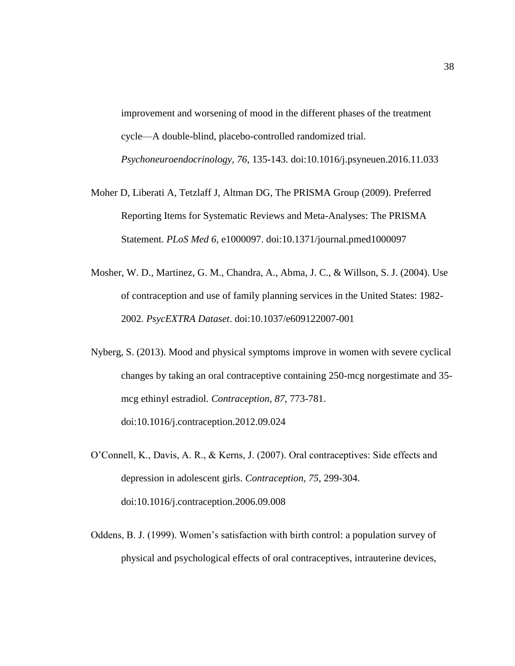improvement and worsening of mood in the different phases of the treatment cycle—A double-blind, placebo-controlled randomized trial. *Psychoneuroendocrinology, 76*, 135-143. doi:10.1016/j.psyneuen.2016.11.033

- Moher D, Liberati A, Tetzlaff J, Altman DG, The PRISMA Group (2009). Preferred Reporting Items for Systematic Reviews and Meta-Analyses: The PRISMA Statement. *PLoS Med 6*, e1000097. doi:10.1371/journal.pmed1000097
- Mosher, W. D., Martinez, G. M., Chandra, A., Abma, J. C., & Willson, S. J. (2004). Use of contraception and use of family planning services in the United States: 1982- 2002. *PsycEXTRA Dataset*. doi:10.1037/e609122007-001
- Nyberg, S. (2013). Mood and physical symptoms improve in women with severe cyclical changes by taking an oral contraceptive containing 250-mcg norgestimate and 35 mcg ethinyl estradiol. *Contraception, 87*, 773-781. doi:10.1016/j.contraception.2012.09.024
- O'Connell, K., Davis, A. R., & Kerns, J. (2007). Oral contraceptives: Side effects and depression in adolescent girls. *Contraception, 75*, 299-304. doi:10.1016/j.contraception.2006.09.008
- Oddens, B. J. (1999). Women's satisfaction with birth control: a population survey of physical and psychological effects of oral contraceptives, intrauterine devices,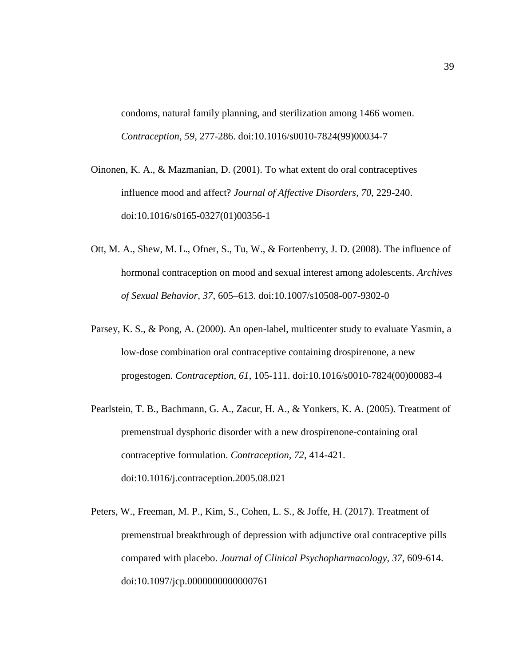condoms, natural family planning, and sterilization among 1466 women. *Contraception, 59*, 277-286. doi:10.1016/s0010-7824(99)00034-7

- Oinonen, K. A., & Mazmanian, D. (2001). To what extent do oral contraceptives influence mood and affect? *Journal of Affective Disorders, 70*, 229-240. doi:10.1016/s0165-0327(01)00356-1
- Ott, M. A., Shew, M. L., Ofner, S., Tu, W., & Fortenberry, J. D. (2008). The influence of hormonal contraception on mood and sexual interest among adolescents. *Archives of Sexual Behavior, 37*, 605–613. doi:10.1007/s10508-007-9302-0
- Parsey, K. S., & Pong, A. (2000). An open-label, multicenter study to evaluate Yasmin, a low-dose combination oral contraceptive containing drospirenone, a new progestogen. *Contraception, 61*, 105-111. doi:10.1016/s0010-7824(00)00083-4
- Pearlstein, T. B., Bachmann, G. A., Zacur, H. A., & Yonkers, K. A. (2005). Treatment of premenstrual dysphoric disorder with a new drospirenone-containing oral contraceptive formulation. *Contraception, 72*, 414-421. doi:10.1016/j.contraception.2005.08.021
- Peters, W., Freeman, M. P., Kim, S., Cohen, L. S., & Joffe, H. (2017). Treatment of premenstrual breakthrough of depression with adjunctive oral contraceptive pills compared with placebo. *Journal of Clinical Psychopharmacology, 37*, 609-614. doi:10.1097/jcp.0000000000000761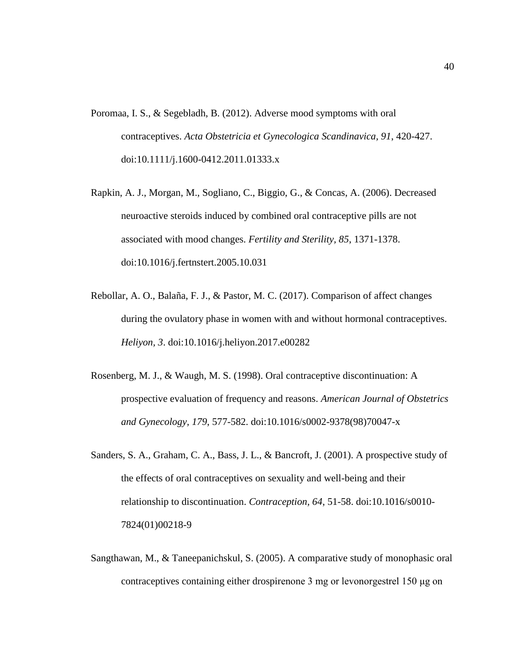- Poromaa, I. S., & Segebladh, B. (2012). Adverse mood symptoms with oral contraceptives. *Acta Obstetricia et Gynecologica Scandinavica, 91*, 420-427. doi:10.1111/j.1600-0412.2011.01333.x
- Rapkin, A. J., Morgan, M., Sogliano, C., Biggio, G., & Concas, A. (2006). Decreased neuroactive steroids induced by combined oral contraceptive pills are not associated with mood changes. *Fertility and Sterility, 85*, 1371-1378. doi:10.1016/j.fertnstert.2005.10.031
- Rebollar, A. O., Balaña, F. J., & Pastor, M. C. (2017). Comparison of affect changes during the ovulatory phase in women with and without hormonal contraceptives. *Heliyon, 3*. doi:10.1016/j.heliyon.2017.e00282
- Rosenberg, M. J., & Waugh, M. S. (1998). Oral contraceptive discontinuation: A prospective evaluation of frequency and reasons. *American Journal of Obstetrics and Gynecology, 179*, 577-582. doi:10.1016/s0002-9378(98)70047-x
- Sanders, S. A., Graham, C. A., Bass, J. L., & Bancroft, J. (2001). A prospective study of the effects of oral contraceptives on sexuality and well-being and their relationship to discontinuation. *Contraception, 64*, 51-58. doi:10.1016/s0010- 7824(01)00218-9
- Sangthawan, M., & Taneepanichskul, S. (2005). A comparative study of monophasic oral contraceptives containing either drospirenone 3 mg or levonorgestrel 150 μg on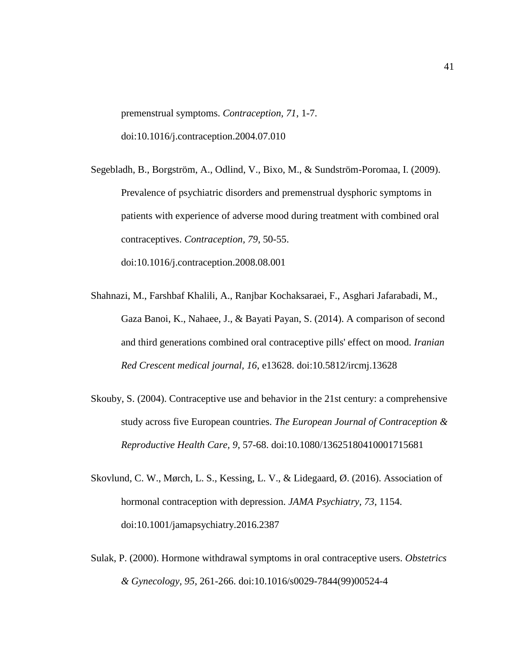premenstrual symptoms. *Contraception, 71*, 1-7. doi:10.1016/j.contraception.2004.07.010

- Segebladh, B., Borgström, A., Odlind, V., Bixo, M., & Sundström-Poromaa, I. (2009). Prevalence of psychiatric disorders and premenstrual dysphoric symptoms in patients with experience of adverse mood during treatment with combined oral contraceptives. *Contraception, 79*, 50-55. doi:10.1016/j.contraception.2008.08.001
- Shahnazi, M., Farshbaf Khalili, A., Ranjbar Kochaksaraei, F., Asghari Jafarabadi, M., Gaza Banoi, K., Nahaee, J., & Bayati Payan, S. (2014). A comparison of second and third generations combined oral contraceptive pills' effect on mood. *Iranian Red Crescent medical journal, 16*, e13628. doi:10.5812/ircmj.13628
- Skouby, S. (2004). Contraceptive use and behavior in the 21st century: a comprehensive study across five European countries. *The European Journal of Contraception & Reproductive Health Care, 9*, 57-68. doi:10.1080/13625180410001715681
- Skovlund, C. W., Mørch, L. S., Kessing, L. V., & Lidegaard, Ø. (2016). Association of hormonal contraception with depression. *JAMA Psychiatry, 73*, 1154. doi:10.1001/jamapsychiatry.2016.2387
- Sulak, P. (2000). Hormone withdrawal symptoms in oral contraceptive users. *Obstetrics & Gynecology, 95*, 261-266. doi:10.1016/s0029-7844(99)00524-4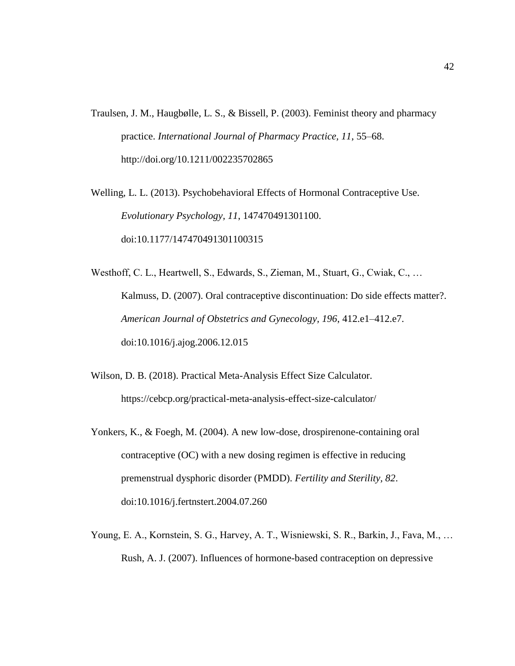- Traulsen, J. M., Haugbølle, L. S., & Bissell, P. (2003). Feminist theory and pharmacy practice. *International Journal of Pharmacy Practice, 11*, 55–68. http://doi.org/10.1211/002235702865
- Welling, L. L. (2013). Psychobehavioral Effects of Hormonal Contraceptive Use. *Evolutionary Psychology, 11*, 147470491301100. doi:10.1177/147470491301100315
- Westhoff, C. L., Heartwell, S., Edwards, S., Zieman, M., Stuart, G., Cwiak, C., … Kalmuss, D. (2007). Oral contraceptive discontinuation: Do side effects matter?. *American Journal of Obstetrics and Gynecology, 196*, 412.e1–412.e7. doi:10.1016/j.ajog.2006.12.015
- Wilson, D. B. (2018). Practical Meta-Analysis Effect Size Calculator. https://cebcp.org/practical-meta-analysis-effect-size-calculator/
- Yonkers, K., & Foegh, M. (2004). A new low-dose, drospirenone-containing oral contraceptive (OC) with a new dosing regimen is effective in reducing premenstrual dysphoric disorder (PMDD). *Fertility and Sterility, 82*. doi:10.1016/j.fertnstert.2004.07.260
- Young, E. A., Kornstein, S. G., Harvey, A. T., Wisniewski, S. R., Barkin, J., Fava, M., … Rush, A. J. (2007). Influences of hormone-based contraception on depressive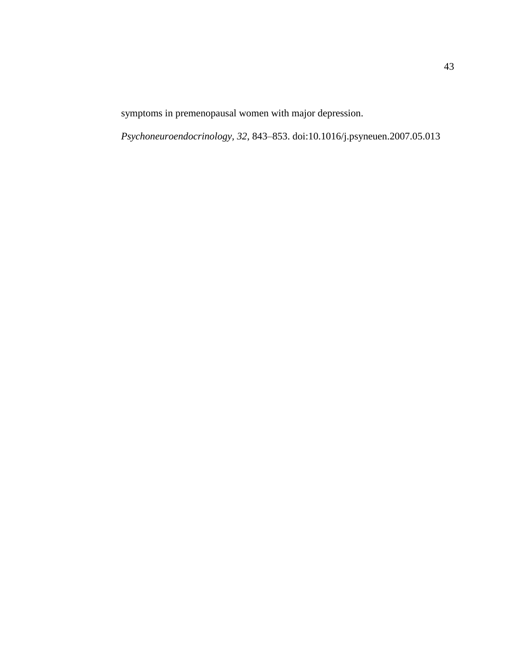symptoms in premenopausal women with major depression.

*Psychoneuroendocrinology, 32*, 843–853. doi:10.1016/j.psyneuen.2007.05.013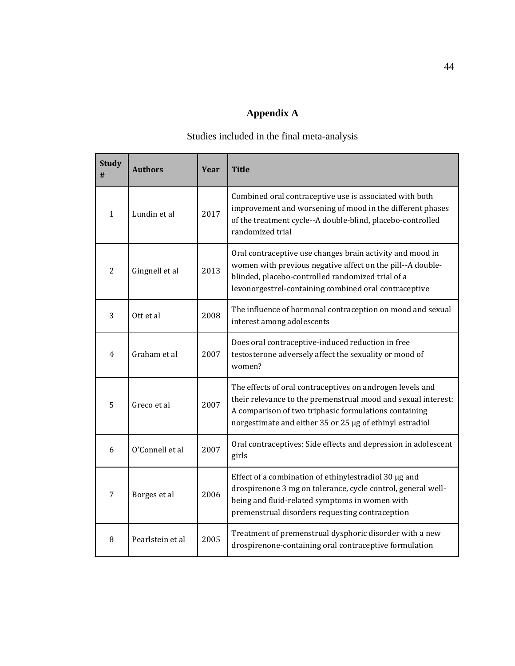# **Appendix A**

# Studies included in the final meta-analysis

<span id="page-52-0"></span>

| <b>Study</b><br># | <b>Authors</b>   | Year | <b>Title</b>                                                                                                                                                                                                                                    |
|-------------------|------------------|------|-------------------------------------------------------------------------------------------------------------------------------------------------------------------------------------------------------------------------------------------------|
| 1                 | Lundin et al     | 2017 | Combined oral contraceptive use is associated with both<br>improvement and worsening of mood in the different phases<br>of the treatment cycle--A double-blind, placebo-controlled<br>randomized trial                                          |
| $\overline{2}$    | Gingnell et al   | 2013 | Oral contraceptive use changes brain activity and mood in<br>women with previous negative affect on the pill--A double-<br>blinded, placebo-controlled randomized trial of a<br>levonorgestrel-containing combined oral contraceptive           |
| 3                 | Ott et al        | 2008 | The influence of hormonal contraception on mood and sexual<br>interest among adolescents                                                                                                                                                        |
| 4                 | Graham et al     | 2007 | Does oral contraceptive-induced reduction in free<br>testosterone adversely affect the sexuality or mood of<br>women?                                                                                                                           |
| 5                 | Greco et al      | 2007 | The effects of oral contraceptives on androgen levels and<br>their relevance to the premenstrual mood and sexual interest:<br>A comparison of two triphasic formulations containing<br>norgestimate and either 35 or 25 µg of ethinyl estradiol |
| 6                 | O'Connell et al  | 2007 | Oral contraceptives: Side effects and depression in adolescent<br>girls                                                                                                                                                                         |
| $\overline{7}$    | Borges et al     | 2006 | Effect of a combination of ethinylestradiol 30 µg and<br>drospirenone 3 mg on tolerance, cycle control, general well-<br>being and fluid-related symptoms in women with<br>premenstrual disorders requesting contraception                      |
| 8                 | Pearlstein et al | 2005 | Treatment of premenstrual dysphoric disorder with a new<br>drospirenone-containing oral contraceptive formulation                                                                                                                               |